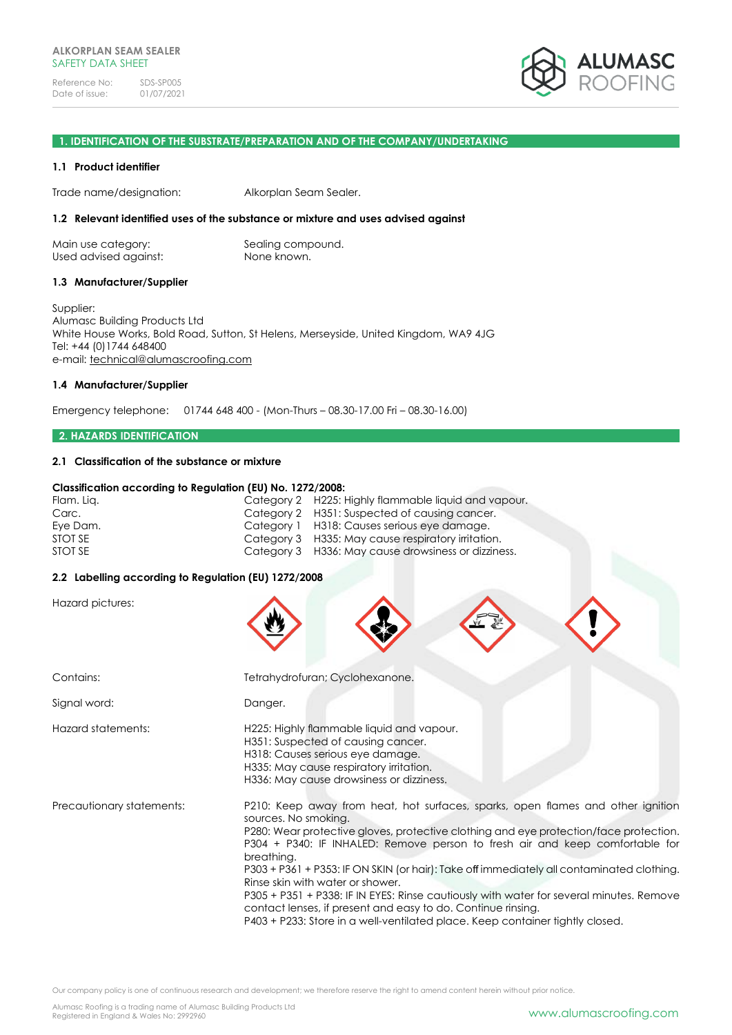

#### **1. IDENTIFICATION OF THE SUBSTRATE/PREPARATION AND OF THE COMPANY/UNDERTAKING**

#### **1.1 Product identifier**

Trade name/designation: Alkorplan Seam Sealer.

#### **1.2 Relevant identified uses of the substance or mixture and uses advised against**

| Main use category:    | Sealing compound. |
|-----------------------|-------------------|
| Used advised against: | None known.       |

#### **1.3 Manufacturer/Supplier**

Supplier: Alumasc Building Products Ltd White House Works, Bold Road, Sutton, St Helens, Merseyside, United Kingdom, WA9 4JG Tel: +44 (0)1744 648400 e-mail: [technical@alumascroofing.com](mailto:technical@alumascroofing.com)

#### **1.4 Manufacturer/Supplier**

Emergency telephone: 01744 648 400 - (Mon-Thurs – 08.30-17.00 Fri – 08.30-16.00)

#### **2. HAZARDS IDENTIFICATION**

#### **2.1 Classification of the substance or mixture**

#### **Classification according to Regulation (EU) No. 1272/2008:**

| Category 2 H225: Highly flammable liquid and vapour. |
|------------------------------------------------------|
| Category 2 H351: Suspected of causing cancer.        |
| Category 1 H318: Causes serious eye damage.          |
| Category 3 H335: May cause respiratory irritation.   |
| Category 3 H336: May cause drowsiness or dizziness.  |
|                                                      |

#### **2.2 Labelling according to Regulation (EU) 1272/2008**

Hazard pictures: Contains: Tetrahydrofuran; Cyclohexanone. Signal word: Danger. Hazard statements: H225: Highly flammable liquid and vapour. H351: Suspected of causing cancer. H318: Causes serious eye damage. H335: May cause respiratory irritation. H336: May cause drowsiness or dizziness. Precautionary statements: P210: Keep away from heat, hot surfaces, sparks, open flames and other ignition sources. No smoking. P280: Wear protective gloves, protective clothing and eye protection/face protection. P304 + P340: IF INHALED: Remove person to fresh air and keep comfortable for breathing. P303 + P361 + P353: IF ON SKIN (or hair): Take off immediately all contaminated clothing. Rinse skin with water or shower. P305 + P351 + P338: IF IN EYES: Rinse cautiously with water for several minutes. Remove contact lenses, if present and easy to do. Continue rinsing.

P403 + P233: Store in a well-ventilated place. Keep container tightly closed.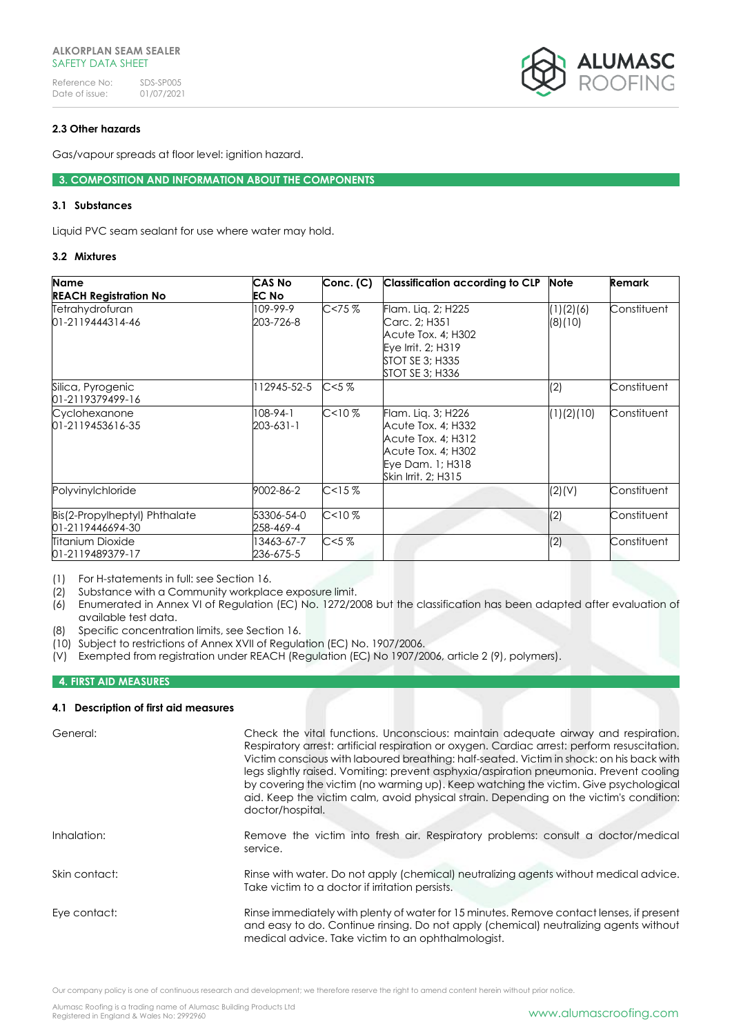Reference No: SDS-SP005<br>Date of issue: 01/07/2021 Date of issue:



# **2.3 Other hazards**

Gas/vapour spreads at floor level: ignition hazard.

**3. COMPOSITION AND INFORMATION ABOUT THE COMPONENTS**

# **3.1 Substances**

Liquid PVC seam sealant for use where water may hold.

# **3.2 Mixtures**

| <b>Name</b>                   | <b>CAS No</b> | Conc. (C)        | <b>Classification according to CLP</b> | <b>Note</b> | <b>Remark</b> |
|-------------------------------|---------------|------------------|----------------------------------------|-------------|---------------|
| <b>REACH Registration No</b>  | <b>EC No</b>  |                  |                                        |             |               |
| Tetrahydrofuran               | 109-99-9      | C < 75%          | Flam. Lig. 2; H225                     | (1)(2)(6)   | Constituent   |
| 01-2119444314-46              | 203-726-8     |                  | Carc. 2; H351                          | (8)(10)     |               |
|                               |               |                  | Acute Tox. 4; H302                     |             |               |
|                               |               |                  | Eye Irrit. 2; H319                     |             |               |
|                               |               |                  | <b>STOT SE 3; H335</b>                 |             |               |
|                               |               |                  | <b>STOT SE 3; H336</b>                 |             |               |
| Silica, Pyrogenic             | 12945-52-5    | C < 5%           |                                        | (2)         | Constituent   |
| 01-2119379499-16              |               |                  |                                        |             |               |
| Cyclohexanone                 | $108-94-1$    | C<10%            | Flam. Lig. 3; H226                     | (1)(2)(10)  | Constituent   |
| 01-2119453616-35              | 203-631-1     |                  | Acute Tox. 4; H332                     |             |               |
|                               |               |                  | Acute Tox. 4; H312                     |             |               |
|                               |               |                  | Acute Tox. 4; H302                     |             |               |
|                               |               |                  | Eye Dam. 1; H318                       |             |               |
|                               |               |                  | Skin Irrit, 2; H315                    |             |               |
| Polyvinylchloride             | 9002-86-2     | C <sub>15%</sub> |                                        | (2)(V)      | Constituent   |
| Bis(2-Propylheptyl) Phthalate | 53306-54-0    | $C10$ %          |                                        | (2)         | Constituent   |
| 01-2119446694-30              | 258-469-4     |                  |                                        |             |               |
| <b>Titanium Dioxide</b>       | 13463-67-7    | C < 5%           |                                        | (2)         | Constituent   |
| 01-2119489379-17              | 236-675-5     |                  |                                        |             |               |

(1) For H-statements in full: see Section 16.

(2) Substance with a Community workplace exposure limit.

- (6) Enumerated in Annex VI of Regulation (EC) No. 1272/2008 but the classification has been adapted after evaluation of available test data.
- (8) Specific concentration limits, see Section 16.
- (10) Subject to restrictions of Annex XVII of Regulation (EC) No. 1907/2006.
- (V) Exempted from registration under REACH (Regulation (EC) No 1907/2006, article 2 (9), polymers).

# **4. FIRST AID MEASURES**

# **4.1 Description of first aid measures**

| General:      | Check the vital functions. Unconscious: maintain adequate airway and respiration.<br>Respiratory arrest: artificial respiration or oxygen. Cardiac arrest: perform resuscitation.<br>Victim conscious with laboured breathing: half-seated. Victim in shock: on his back with<br>legs slightly raised. Vomiting: prevent asphyxia/aspiration pneumonia. Prevent cooling<br>by covering the victim (no warming up). Keep watching the victim. Give psychological<br>aid. Keep the victim calm, avoid physical strain. Depending on the victim's condition:<br>doctor/hospital. |
|---------------|-------------------------------------------------------------------------------------------------------------------------------------------------------------------------------------------------------------------------------------------------------------------------------------------------------------------------------------------------------------------------------------------------------------------------------------------------------------------------------------------------------------------------------------------------------------------------------|
| Inhalation:   | Remove the victim into fresh air. Respiratory problems: consult a doctor/medical<br>service.                                                                                                                                                                                                                                                                                                                                                                                                                                                                                  |
| Skin contact: | Rinse with water. Do not apply (chemical) neutralizing agents without medical advice.<br>Take victim to a doctor if irritation persists.                                                                                                                                                                                                                                                                                                                                                                                                                                      |
| Eye contact:  | Rinse immediately with plenty of water for 15 minutes. Remove contact lenses, if present<br>and easy to do. Continue rinsing. Do not apply (chemical) neutralizing agents without<br>medical advice. Take victim to an ophthalmologist.                                                                                                                                                                                                                                                                                                                                       |

Our company policy is one of continuous research and development; we therefore reserve the right to amend content herein without prior notice.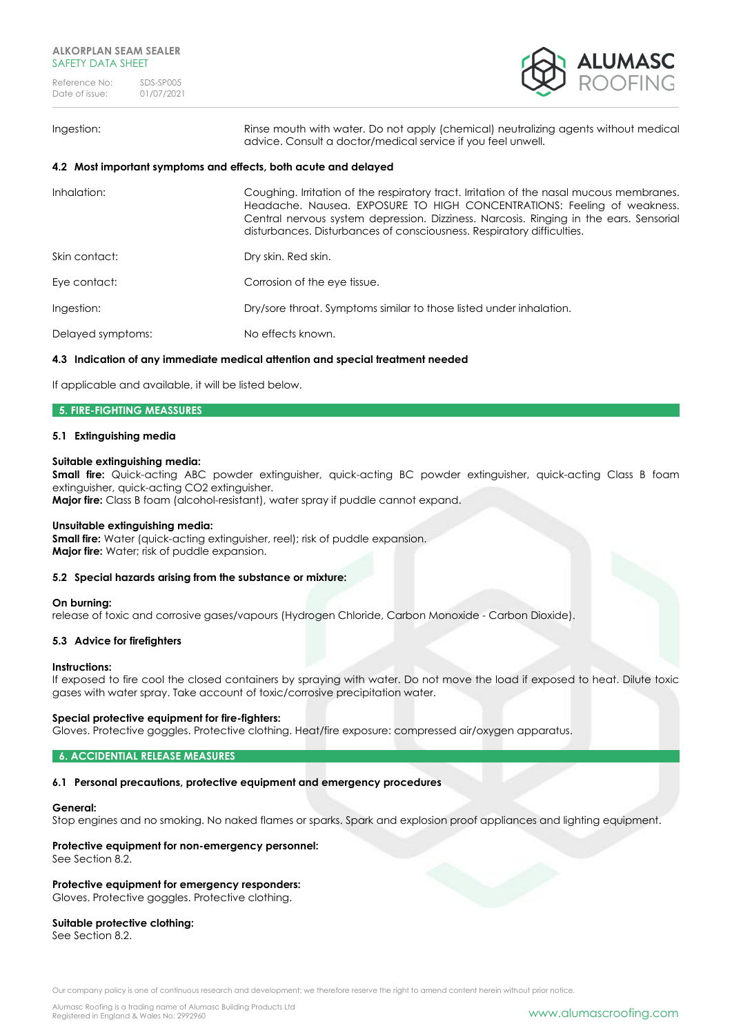

#### Ingestion: Rinse mouth with water. Do not apply (chemical) neutralizing agents without medical

# **4.2 Most important symptoms and effects, both acute and delayed**

| Inhalation:       | Coughing. Irritation of the respiratory tract. Irritation of the nasal mucous membranes.<br>Headache. Nausea. EXPOSURE TO HIGH CONCENTRATIONS: Feeling of weakness.<br>Central nervous system depression. Dizziness. Narcosis. Ringing in the ears. Sensorial<br>disturbances. Disturbances of consciousness. Respiratory difficulties. |
|-------------------|-----------------------------------------------------------------------------------------------------------------------------------------------------------------------------------------------------------------------------------------------------------------------------------------------------------------------------------------|
| Skin contact:     | Dry skin. Red skin.                                                                                                                                                                                                                                                                                                                     |
| Eye contact:      | Corrosion of the eye tissue.                                                                                                                                                                                                                                                                                                            |
| Ingestion:        | Dry/sore throat. Symptoms similar to those listed under inhalation.                                                                                                                                                                                                                                                                     |
| Delayed symptoms: | No effects known.                                                                                                                                                                                                                                                                                                                       |
|                   |                                                                                                                                                                                                                                                                                                                                         |

advice. Consult a doctor/medical service if you feel unwell.

#### **4.3 Indication of any immediate medical attention and special treatment needed**

If applicable and available, it will be listed below.

#### **5. FIRE-FIGHTING MEASSURES**

# **5.1 Extinguishing media**

#### **Suitable extinguishing media:**

**Small fire:** Quick-acting ABC powder extinguisher, quick-acting BC powder extinguisher, quick-acting Class B foam extinguisher, quick-acting CO2 extinguisher.

**Major fire:** Class B foam (alcohol-resistant), water spray if puddle cannot expand.

#### **Unsuitable extinguishing media:**

**Small fire:** Water (quick-acting extinguisher, reel); risk of puddle expansion. **Major fire:** Water; risk of puddle expansion.

#### **5.2 Special hazards arising from the substance or mixture:**

#### **On burning:**

release of toxic and corrosive gases/vapours (Hydrogen Chloride, Carbon Monoxide - Carbon Dioxide).

#### **5.3 Advice for firefighters**

#### **Instructions:**

If exposed to fire cool the closed containers by spraying with water. Do not move the load if exposed to heat. Dilute toxic gases with water spray. Take account of toxic/corrosive precipitation water.

#### **Special protective equipment for fire-fighters:**

Gloves. Protective goggles. Protective clothing. Heat/fire exposure: compressed air/oxygen apparatus.

#### **6. ACCIDENTIAL RELEASE MEASURES**

#### **6.1 Personal precautions, protective equipment and emergency procedures**

#### **General:**

Stop engines and no smoking. No naked flames or sparks. Spark and explosion proof appliances and lighting equipment.

# **Protective equipment for non-emergency personnel:**

See Section 8.2.

# **Protective equipment for emergency responders:**

Gloves. Protective goggles. Protective clothing.

#### **Suitable protective clothing:**

See Section 8.2.

Our company policy is one of continuous research and development; we therefore reserve the right to amend content herein without prior notice.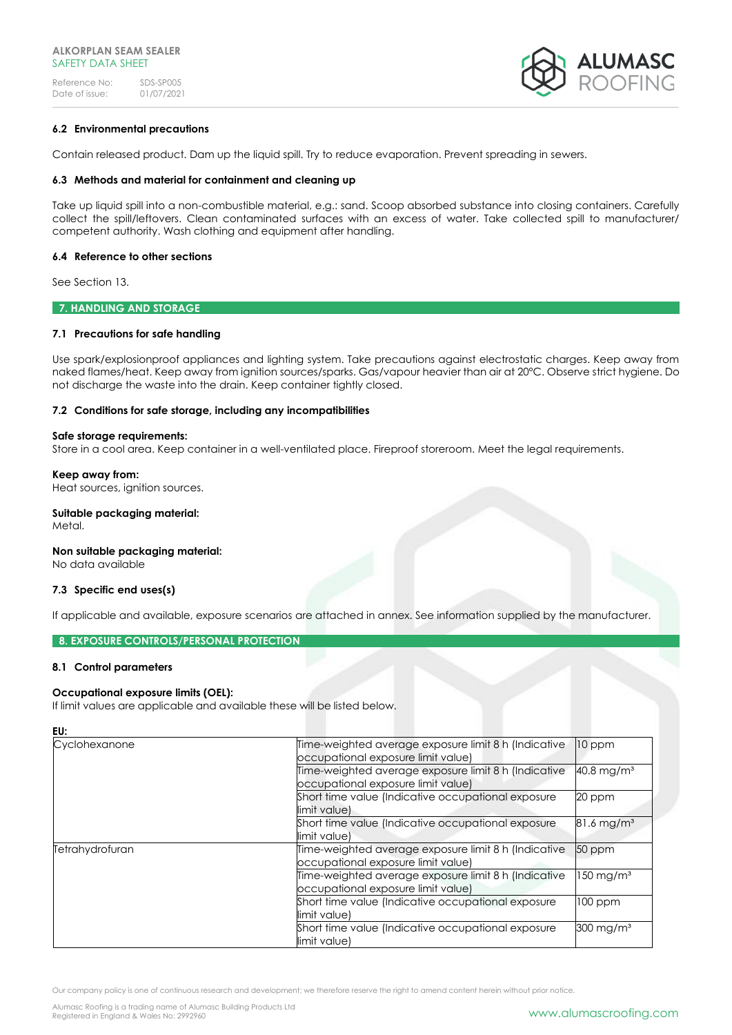

## **6.2 Environmental precautions**

Contain released product. Dam up the liquid spill. Try to reduce evaporation. Prevent spreading in sewers.

#### **6.3 Methods and material for containment and cleaning up**

Take up liquid spill into a non-combustible material, e.g.: sand. Scoop absorbed substance into closing containers. Carefully collect the spill/leftovers. Clean contaminated surfaces with an excess of water. Take collected spill to manufacturer/ competent authority. Wash clothing and equipment after handling.

#### **6.4 Reference to other sections**

See Section 13.

**7. HANDLING AND STORAGE** 

#### **7.1 Precautions for safe handling**

Use spark/explosionproof appliances and lighting system. Take precautions against electrostatic charges. Keep away from naked flames/heat. Keep away from ignition sources/sparks. Gas/vapour heavier than air at 20°C. Observe strict hygiene. Do not discharge the waste into the drain. Keep container tightly closed.

## **7.2 Conditions for safe storage, including any incompatibilities**

#### **Safe storage requirements:**

Store in a cool area. Keep container in a well-ventilated place. Fireproof storeroom. Meet the legal requirements.

#### **Keep away from:**

Heat sources, ignition sources.

# **Suitable packaging material:**

Metal.

**EU:**

# **Non suitable packaging material:**

No data available

#### **7.3 Specific end uses(s)**

If applicable and available, exposure scenarios are attached in annex. See information supplied by the manufacturer.

# **8. EXPOSURE CONTROLS/PERSONAL PROTECTION**

#### **8.1 Control parameters**

#### **Occupational exposure limits (OEL):**

If limit values are applicable and available these will be listed below.

| EU:             |                                                                                            |                          |
|-----------------|--------------------------------------------------------------------------------------------|--------------------------|
| Cyclohexanone   | Time-weighted average exposure limit 8 h (Indicative<br>occupational exposure limit value) | $10$ ppm                 |
|                 | Time-weighted average exposure limit 8 h (Indicative<br>occupational exposure limit value) | $40.8$ mg/m <sup>3</sup> |
|                 | Short time value (Indicative occupational exposure<br>limit value)                         | 20 ppm                   |
|                 | Short time value (Indicative occupational exposure<br>limit value)                         | $81.6 \,\mathrm{mg/m^3}$ |
| Tetrahydrofuran | Time-weighted average exposure limit 8 h (Indicative<br>occupational exposure limit value) | 50 ppm                   |
|                 | Time-weighted average exposure limit 8 h (Indicative<br>occupational exposure limit value) | $150$ mg/m <sup>3</sup>  |
|                 | Short time value (Indicative occupational exposure<br>limit value)                         | $100$ ppm                |
|                 | Short time value (Indicative occupational exposure<br>limit value)                         | 300 mg/m <sup>3</sup>    |

Our company policy is one of continuous research and development; we therefore reserve the right to amend content herein without prior notice.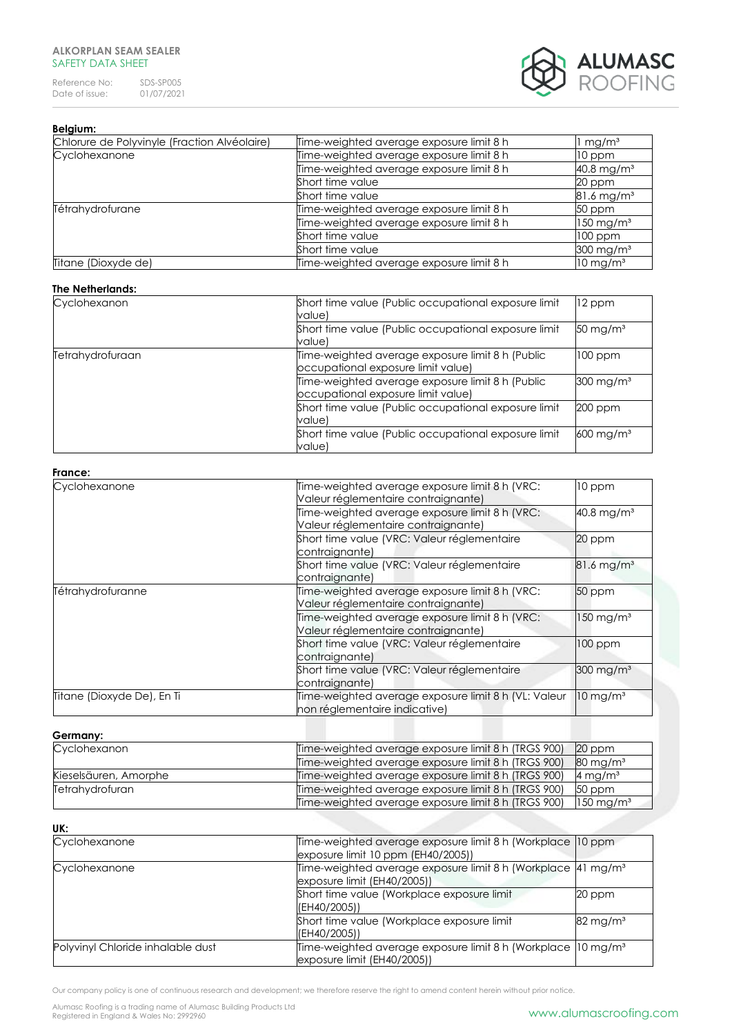Reference No: SDS-SP005<br>Date of issue: 01/07/2021 Date of issue:



# **Belgium:**

| Chlorure de Polyvinyle (Fraction Alvéolaire) | Time-weighted average exposure limit 8 h | mg/m <sup>3</sup>        |
|----------------------------------------------|------------------------------------------|--------------------------|
| Cyclohexanone                                | Time-weighted average exposure limit 8 h | 10 ppm                   |
|                                              | Time-weighted average exposure limit 8 h | $40.8$ mg/m <sup>3</sup> |
|                                              | Short time value                         | 20 ppm                   |
|                                              | Short time value                         | $81.6 \,\mathrm{mg/m^3}$ |
| Tétrahydrofurane                             | Time-weighted average exposure limit 8 h | 50 ppm                   |
|                                              | Time-weighted average exposure limit 8 h | $150 \text{ mg/m}^3$     |
|                                              | Short time value                         | $100$ ppm                |
|                                              | Short time value                         | $300 \text{ mg/m}^3$     |
| Titane (Dioxyde de)                          | Time-weighted average exposure limit 8 h | $10 \,\mathrm{mg/m^3}$   |

## **The Netherlands:**

| Cyclohexanon     | Short time value (Public occupational exposure limit<br>value)                         | 12 ppm                  |
|------------------|----------------------------------------------------------------------------------------|-------------------------|
|                  | Short time value (Public occupational exposure limit<br>value)                         | $50 \,\mathrm{mg/m^3}$  |
| Tetrahydrofuraan | Time-weighted average exposure limit 8 h (Public<br>occupational exposure limit value) | $100$ ppm               |
|                  | Time-weighted average exposure limit 8 h (Public<br>occupational exposure limit value) | $300 \text{ mg/m}^3$    |
|                  | Short time value (Public occupational exposure limit<br>value)                         | $200$ ppm               |
|                  | Short time value (Public occupational exposure limit<br>value)                         | $600 \,\mathrm{mg/m^3}$ |

#### **France:**

| Cyclohexanone              | Time-weighted average exposure limit 8 h (VRC:<br>Valeur réglementaire contraignante) | 10 ppm                   |
|----------------------------|---------------------------------------------------------------------------------------|--------------------------|
|                            | Time-weighted average exposure limit 8 h (VRC:<br>Valeur réglementaire contraignante) | $40.8$ mg/m <sup>3</sup> |
|                            | Short time value (VRC: Valeur réglementaire<br>contraignante)                         | 20 ppm                   |
|                            | Short time value (VRC: Valeur réglementaire<br>contraignante)                         | $81.6$ mg/m <sup>3</sup> |
| Tétrahydrofuranne          | Time-weighted average exposure limit 8 h (VRC:<br>Valeur réglementaire contraignante) | 50 ppm                   |
|                            | Time-weighted average exposure limit 8 h (VRC:<br>Valeur réglementaire contraignante) | $150 \text{ mg/m}^3$     |
|                            | Short time value (VRC: Valeur réglementaire<br>contraignante)                         | 100 ppm                  |
|                            | Short time value (VRC: Valeur réglementaire<br>contraignante)                         | $300$ mg/m <sup>3</sup>  |
| Titane (Dioxyde De), En Ti | Time-weighted average exposure limit 8 h (VL: Valeur<br>non réglementaire indicative) | $10$ mg/m <sup>3</sup>   |

# **Germany:**

| Cyclohexanon          | Time-weighted average exposure limit 8 h (TRGS 900) | 20 ppm                 |
|-----------------------|-----------------------------------------------------|------------------------|
|                       | Time-weighted average exposure limit 8 h (TRGS 900) | $80 \,\mathrm{mg/m^3}$ |
| Kieselsäuren, Amorphe | Time-weighted average exposure limit 8 h (TRGS 900) | 4 mg/m <sup>3</sup>    |
| Tetrahydrofuran       | Time-weighted average exposure limit 8 h (TRGS 900) | 50 ppm                 |
|                       | Time-weighted average exposure limit 8 h (TRGS 900) | $150 \text{ mg/m}^3$   |

# **UK:**

| vr.                               |                                                                                                                                          |                        |
|-----------------------------------|------------------------------------------------------------------------------------------------------------------------------------------|------------------------|
| Cyclohexanone                     | Time-weighted average exposure limit 8 h (Workplace 10 ppm<br>exposure limit 10 ppm (EH40/2005))                                         |                        |
| Cyclohexanone                     | Time-weighted average exposure limit 8 h (Workplace 41 mg/m <sup>3</sup><br>exposure limit (EH40/2005))                                  |                        |
|                                   | Short time value (Workplace exposure limit<br>(EH40/2005))                                                                               | 20 ppm                 |
|                                   | Short time value (Workplace exposure limit<br>(EH40/2005))                                                                               | $82 \,\mathrm{mg/m^3}$ |
| Polyvinyl Chloride inhalable dust | Time-weighted average exposure limit 8 h (Workplace  10 mg/m <sup>3</sup><br>$\left  \frac{1}{2005} \right $ exposure limit (EH40/2005)) |                        |

Our company policy is one of continuous research and development; we therefore reserve the right to amend content herein without prior notice.

Alumasc Roofing is a trading name of Alumasc Building Products Ltd<br>Registered in England & Wales No: 2992960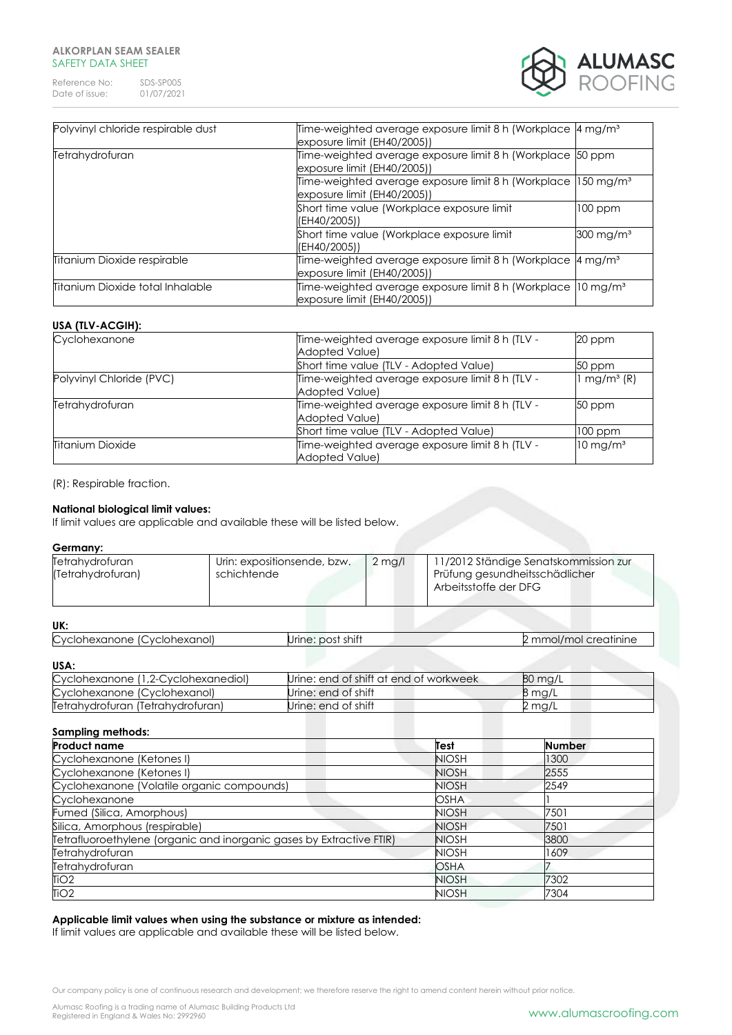Reference No: SDS-SP005<br>Date of issue: 01/07/2021 Date of issue:



| Polyvinyl chloride respirable dust | Time-weighted average exposure limit 8 h (Workplace 4 mg/m <sup>3</sup><br>$\alpha$ exposure limit (EH40/2005)) |                      |
|------------------------------------|-----------------------------------------------------------------------------------------------------------------|----------------------|
| Tetrahydrofuran                    | Time-weighted average exposure limit 8 h (Workplace 50 ppm<br>exposure limit (EH40/2005))                       |                      |
|                                    | Time-weighted average exposure limit 8 h (Workplace 150 mg/m <sup>3</sup><br>exposure limit (EH40/2005))        |                      |
|                                    | Short time value (Workplace exposure limit<br>(EH40/2005))                                                      | 100 ppm              |
|                                    | Short time value (Workplace exposure limit<br>(EH40/2005))                                                      | $300 \text{ mg/m}^3$ |
| Titanium Dioxide respirable        | Time-weighted average exposure limit 8 h (Workplace 4 mg/m <sup>3</sup><br>exposure limit (EH40/2005))          |                      |
| Titanium Dioxide total Inhalable   | Time-weighted average exposure limit 8 h (Workplace 10 mg/m <sup>3</sup><br>exposure limit (EH40/2005))         |                      |

# **USA (TLV-ACGIH):**

| Cyclohexanone            | Time-weighted average exposure limit 8 h (TLV -                                                  | 20 ppm                 |
|--------------------------|--------------------------------------------------------------------------------------------------|------------------------|
|                          | <b>Adopted Value)</b>                                                                            |                        |
|                          | Short time value (TLV - Adopted Value)                                                           | 50 ppm                 |
| Polyvinyl Chloride (PVC) | $1$ mg/m <sup>3</sup> $(R)$<br>Time-weighted average exposure limit 8 h (TLV -<br>Adopted Value) |                        |
| Tetrahydrofuran          | Time-weighted average exposure limit 8 h (TLV -<br>Adopted Value)                                | 50 ppm                 |
|                          | Short time value (TLV - Adopted Value)                                                           | $100$ ppm              |
| <b>Titanium Dioxide</b>  | Time-weighted average exposure limit 8 h (TLV -<br><b>Adopted Value)</b>                         | $10 \,\mathrm{mg/m^3}$ |

(R): Respirable fraction.

## **National biological limit values:**

If limit values are applicable and available these will be listed below.

#### **Germany:**

| Tetrahydrofuran<br>(Tetrahydrofuran) | Urin: expositionsende, bzw.<br>schichtende | $2$ mg/l | 11/2012 Ständige Senatskommission zur<br>Prüfung gesundheitsschädlicher<br>Arbeitsstoffe der DFG |
|--------------------------------------|--------------------------------------------|----------|--------------------------------------------------------------------------------------------------|
|--------------------------------------|--------------------------------------------|----------|--------------------------------------------------------------------------------------------------|

# **UK:**

| Cyclohexanone<br>(Cyclohexanol) | Jrine: post shift | mmol/mol creatinine |
|---------------------------------|-------------------|---------------------|
|                                 |                   |                     |

#### **USA:**

| Cyclohexanone (1,2-Cyclohexanediol) | Urine: end of shift at end of workweek | 80 mg/L |
|-------------------------------------|----------------------------------------|---------|
| Cyclohexanone (Cyclohexanol)        | Urine: end of shift                    | 8 ma/L  |
| Tetrahydrofuran (Tetrahydrofuran)   | Urine: end of shift                    | 2 mg/L  |

| <b>Sampling methods:</b>                                             |              |               |
|----------------------------------------------------------------------|--------------|---------------|
| <b>Product name</b>                                                  | Test         | <b>Number</b> |
| Cyclohexanone (Ketones I)                                            | <b>NIOSH</b> | 1300          |
| Cyclohexanone (Ketones I)                                            | <b>NIOSH</b> | 2555          |
| Cyclohexanone (Volatile organic compounds)                           | <b>NIOSH</b> | 2549          |
| Cyclohexanone                                                        | <b>OSHA</b>  |               |
| Fumed (Silica, Amorphous)                                            | <b>NIOSH</b> | 7501          |
| Silica, Amorphous (respirable)                                       | <b>NIOSH</b> | 7501          |
| Tetrafluoroethylene (organic and inorganic gases by Extractive FTIR) | <b>NIOSH</b> | 3800          |
| Tetrahydrofuran                                                      | <b>NIOSH</b> | 1609          |
| Tetrahydrofuran                                                      | <b>OSHA</b>  |               |
| TiO <sub>2</sub>                                                     | <b>NIOSH</b> | 7302          |
| TiO <sub>2</sub>                                                     | <b>NIOSH</b> | 7304          |

# **Applicable limit values when using the substance or mixture as intended:**

If limit values are applicable and available these will be listed below.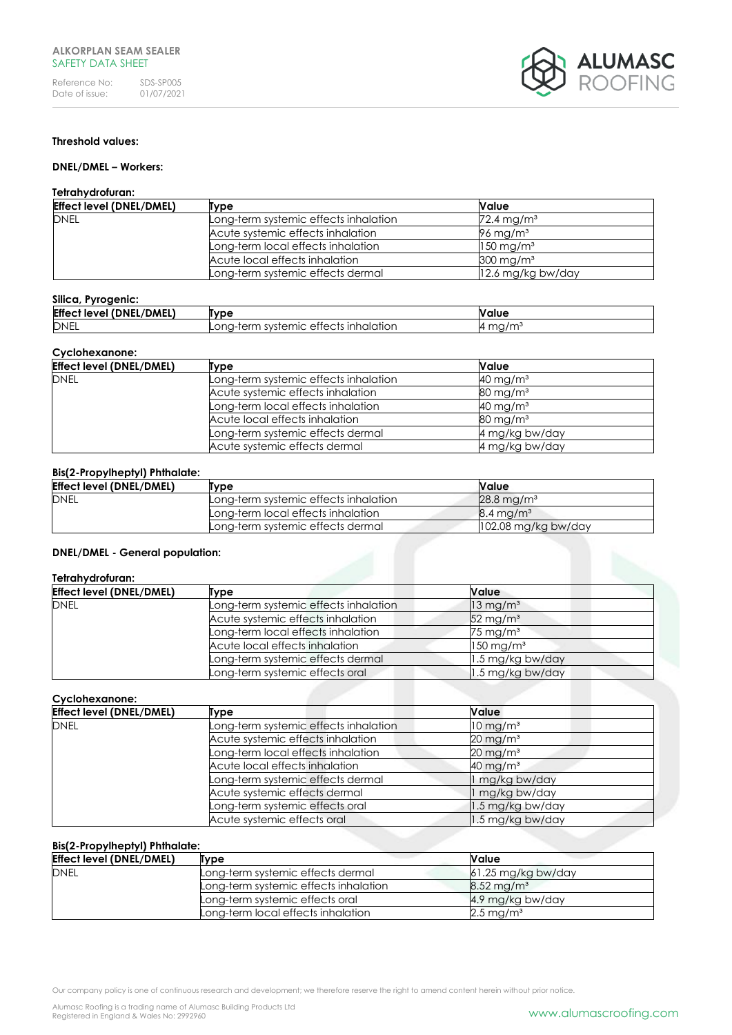

## **Threshold values:**

# **DNEL/DMEL – Workers:**

#### **Tetrahydrofuran:**

| <b>Effect level (DNEL/DMEL)</b> | Type                                  | Nalue                    |
|---------------------------------|---------------------------------------|--------------------------|
| <b>DNEL</b>                     | Long-term systemic effects inhalation | $72.4 \,\mathrm{mg/m^3}$ |
|                                 | Acute systemic effects inhalation     | 96 mg/m $3$              |
|                                 | Long-term local effects inhalation    | $150 \,\mathrm{mg/m^3}$  |
|                                 | Acute local effects inhalation        | $300 \,\mathrm{mg/m^3}$  |
|                                 | Long-term systemic effects dermal     | 12.6 mg/kg bw/day        |

#### **Silica, Pyrogenic:**

| <b>Effect</b><br>EL/DMEL)<br>DNE<br>level | Tvpe                                                   | <b>Value</b>      |
|-------------------------------------------|--------------------------------------------------------|-------------------|
| <b>DNEL</b>                               | ; inhalation<br>systemic<br>ettects<br>⊿-term<br>∟ona∹ | ma/m <sup>3</sup> |

#### **Cyclohexanone:**

| <b>Effect level (DNEL/DMEL)</b> | Type                                  | Value                  |
|---------------------------------|---------------------------------------|------------------------|
| <b>DNEL</b>                     | Long-term systemic effects inhalation | $40 \text{ mg/m}^3$    |
|                                 | Acute systemic effects inhalation     | $80 \text{ mg/m}^3$    |
|                                 | Long-term local effects inhalation    | $40 \text{ mg/m}^3$    |
|                                 | Acute local effects inhalation        | $80 \,\mathrm{mg/m^3}$ |
|                                 | Long-term systemic effects dermal     | 4 mg/kg bw/day         |
|                                 | Acute systemic effects dermal         | 4 mg/kg bw/day         |

## **Bis(2-Propylheptyl) Phthalate:**

| <b>Effect level (DNEL/DMEL)</b> | Tvpe                                  | Value                    |
|---------------------------------|---------------------------------------|--------------------------|
| <b>DNEL</b>                     | Long-term systemic effects inhalation | $28.8 \,\mathrm{ma/m^3}$ |
|                                 | Long-term local effects inhalation    | $8.4 \,\mathrm{ma/m^3}$  |
|                                 | Long-term systemic effects dermal     | 102.08 mg/kg bw/day      |

## **DNEL/DMEL - General population:**

## **Tetrahydrofuran:**

| <b>Effect level (DNEL/DMEL)</b> | Type                                  | Value                   |
|---------------------------------|---------------------------------------|-------------------------|
| <b>DNEL</b>                     | Long-term systemic effects inhalation | $13 \,\mathrm{mg/m^3}$  |
|                                 | Acute systemic effects inhalation     | $52 \,\mathrm{mg/m^3}$  |
|                                 | Long-term local effects inhalation    | $75 \,\mathrm{mg/m^3}$  |
|                                 | Acute local effects inhalation        | $150$ mg/m <sup>3</sup> |
|                                 | Long-term systemic effects dermal     | 1.5 mg/kg bw/day        |
|                                 | Long-term systemic effects oral       | 1.5 mg/kg bw/day        |

#### **Cyclohexanone:**

| <b>Effect level (DNEL/DMEL)</b> | Type                                  | Value                  |
|---------------------------------|---------------------------------------|------------------------|
| <b>DNEL</b>                     | Long-term systemic effects inhalation | $10 \,\mathrm{mg/m^3}$ |
|                                 | Acute systemic effects inhalation     | $20 \,\mathrm{mg/m^3}$ |
|                                 | Long-term local effects inhalation    | $20 \,\mathrm{mg/m^3}$ |
|                                 | Acute local effects inhalation        | $40 \,\mathrm{mg/m^3}$ |
|                                 | Long-term systemic effects dermal     | mg/kg bw/day           |
|                                 | Acute systemic effects dermal         | mg/kg bw/day           |
|                                 | Long-term systemic effects oral       | 1.5 mg/kg bw/day       |
|                                 | Acute systemic effects oral           | 1.5 mg/kg bw/day       |

# **Bis(2-Propylheptyl) Phthalate:**

| <b>Effect level (DNEL/DMEL)</b> | Type                                  | <b>Value</b>             |
|---------------------------------|---------------------------------------|--------------------------|
| <b>DNEL</b>                     | Long-term systemic effects dermal     | $61.25$ mg/kg bw/day     |
|                                 | Long-term systemic effects inhalation | $8.52 \,\mathrm{mg/m^3}$ |
|                                 | Long-term systemic effects oral       | 4.9 mg/kg bw/day         |
|                                 | Long-term local effects inhalation    | $2.5 \,\mathrm{mg/m^3}$  |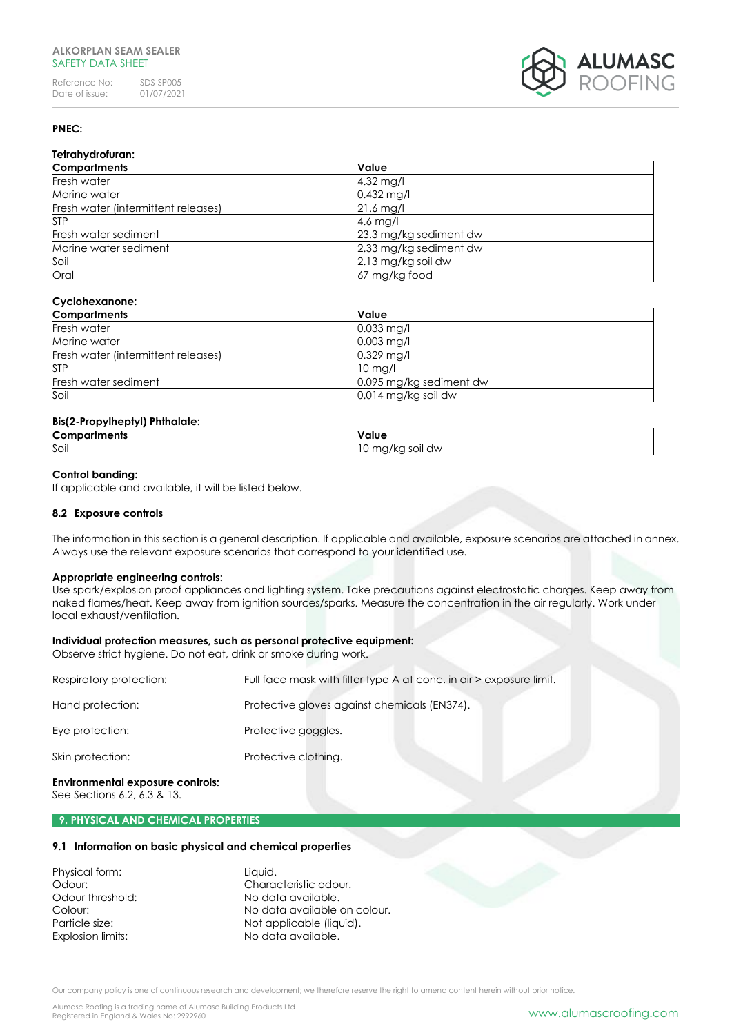Reference No: SDS-SP005<br>Date of issue: 01/07/2021 Date of issue:



# **PNEC:**

| Tetrahydrofuran:                    |                        |
|-------------------------------------|------------------------|
| <b>Compartments</b>                 | <b>Value</b>           |
| Fresh water                         | $4.32$ mg/l            |
| Marine water                        | $0.432$ mg/l           |
| Fresh water (intermittent releases) | $21.6$ mg/l            |
| <b>STP</b>                          | 4.6 mg/l               |
| Fresh water sediment                | 23.3 mg/kg sediment dw |
| Marine water sediment               | 2.33 mg/kg sediment dw |
| Soil                                | 2.13 mg/kg soil dw     |
| Oral                                | 67 mg/kg food          |

# **Cyclohexanone:**

| <b>Compartments</b>                 | <b>Value</b>            |
|-------------------------------------|-------------------------|
| Fresh water                         | $0.033$ mg/l            |
| Marine water                        | $0.003$ mg/l            |
| Fresh water (intermittent releases) | $0.329$ mg/l            |
| <b>STP</b>                          | $10$ mg/l               |
| Fresh water sediment                | 0.095 mg/kg sediment dw |
| Soil                                | 0.014 mg/kg soil dw     |

# **Bis(2-Propylheptyl) Phthalate:**

| <b>Compartments</b> | Value                           |
|---------------------|---------------------------------|
| Soil                | ma<br>$\sim$<br>dw<br>יושי<br>╵ |

## **Control banding:**

If applicable and available, it will be listed below.

#### **8.2 Exposure controls**

The information in this section is a general description. If applicable and available, exposure scenarios are attached in annex. Always use the relevant exposure scenarios that correspond to your identified use.

#### **Appropriate engineering controls:**

Use spark/explosion proof appliances and lighting system. Take precautions against electrostatic charges. Keep away from naked flames/heat. Keep away from ignition sources/sparks. Measure the concentration in the air regularly. Work under local exhaust/ventilation.

#### **Individual protection measures, such as personal protective equipment:**

Observe strict hygiene. Do not eat, drink or smoke during work.

| Respiratory protection: | Full face mask with filter type A at conc. in air > exposure limit. |
|-------------------------|---------------------------------------------------------------------|
| Hand protection:        | Protective gloves against chemicals (EN374).                        |
| Eye protection:         | Protective goggles.                                                 |
| Skin protection:        | Protective clothing.                                                |

#### **Environmental exposure controls:**

See Sections 6.2, 6.3 & 13.

#### **9. PHYSICAL AND CHEMICAL PROPERTIES**

## **9.1 Information on basic physical and chemical properties**

| Physical form:    | Liquid.                      |
|-------------------|------------------------------|
| Odour:            | Characteristic odour.        |
| Odour threshold:  | No data available.           |
| Colour:           | No data available on colour. |
| Particle size:    | Not applicable (liquid).     |
| Explosion limits: | No data available.           |

Our company policy is one of continuous research and development; we therefore reserve the right to amend content herein without prior notice.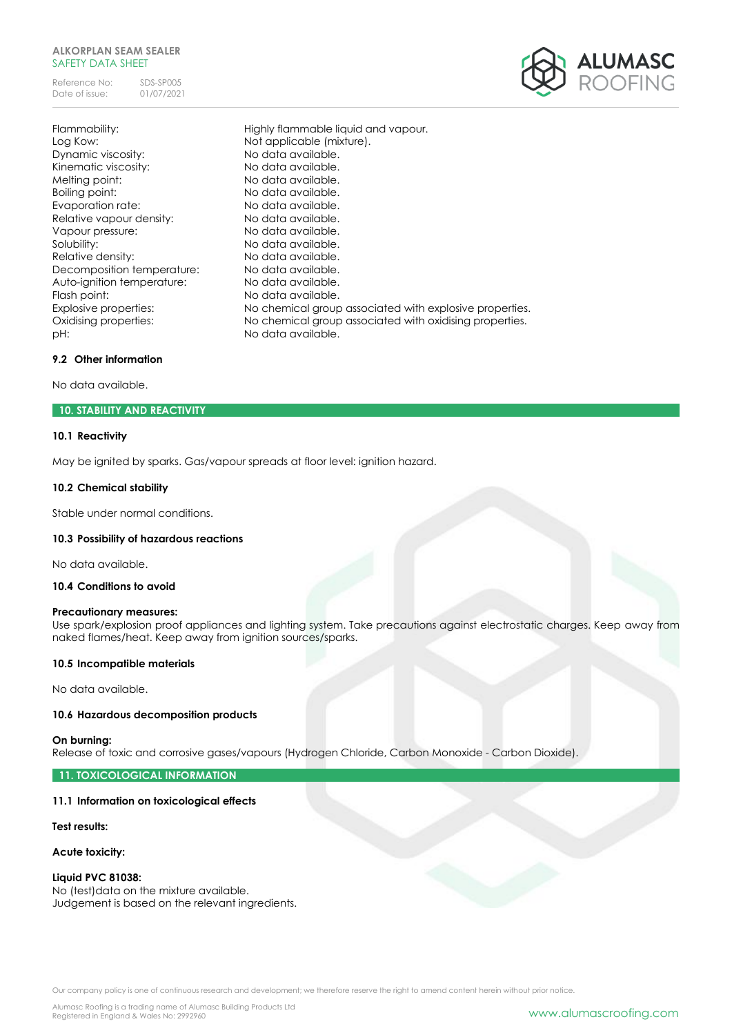Reference No: SDS-SP005<br>Date of issue: 01/07/2021 Date of issue:



Flammability: Highly flammable liquid and vapour. Log Kow: Not applicable (mixture). Dynamic viscosity: No data available. Kinematic viscosity: No data available. Melting point: No data available. Boiling point: No data available. Evaporation rate: No data available. Relative vapour density: No data available. Vapour pressure: No data available. Solubility: Solubility: No data available. Relative density: No data available. Decomposition temperature: No data available. Auto-ignition temperature: No data available. Flash point: No data available. Explosive properties: No chemical group associated with explosive properties. Oxidising properties: No chemical group associated with oxidising properties. pH:  $P$  No data available.

## **9.2 Other information**

No data available.

## **10. STABILITY AND REACTIVITY**

## **10.1 Reactivity**

May be ignited by sparks. Gas/vapour spreads at floor level: ignition hazard.

#### **10.2 Chemical stability**

Stable under normal conditions.

#### **10.3 Possibility of hazardous reactions**

No data available.

## **10.4 Conditions to avoid**

#### **Precautionary measures:**

Use spark/explosion proof appliances and lighting system. Take precautions against electrostatic charges. Keep away from naked flames/heat. Keep away from ignition sources/sparks.

#### **10.5 Incompatible materials**

No data available.

#### **10.6 Hazardous decomposition products**

#### **On burning:**

Release of toxic and corrosive gases/vapours (Hydrogen Chloride, Carbon Monoxide - Carbon Dioxide).

**11. TOXICOLOGICAL INFORMATION**

#### **11.1 Information on toxicological effects**

#### **Test results:**

## **Acute toxicity:**

#### **Liquid PVC 81038:**

No (test)data on the mixture available. Judgement is based on the relevant ingredients.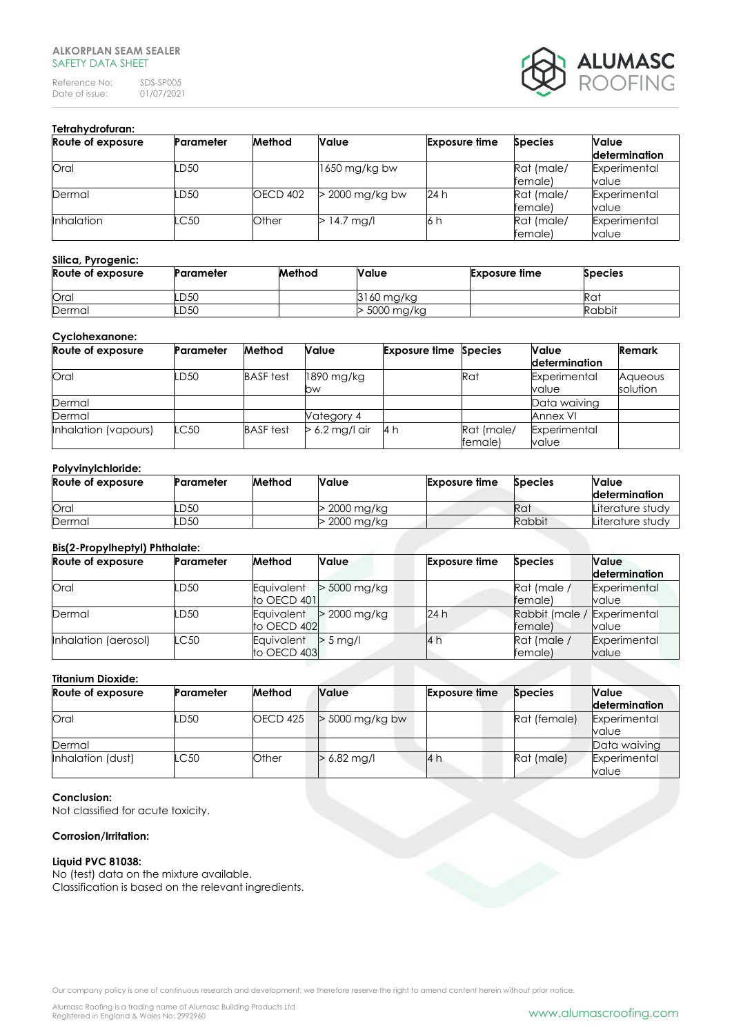Reference No: SDS-SP005<br>Date of issue: 01/07/2021 Date of issue:



# **Tetrahydrofuran:**

| Route of exposure | Parameter | Method          | Value             | <b>Exposure time</b> | <b>Species</b>        | Value                 |
|-------------------|-----------|-----------------|-------------------|----------------------|-----------------------|-----------------------|
|                   |           |                 |                   |                      |                       | determination         |
| Oral              | LD50      |                 | $1650$ mg/kg bw   |                      | Rat (male/<br>female) | Experimental<br>value |
| Dermal            | LD50      | <b>OECD 402</b> | $>$ 2000 mg/kg bw | 24 h                 | Rat (male/<br>female) | Experimental<br>value |
| <b>Inhalation</b> | LC50      | Other           | $>$ 14.7 mg/l     | 6 h                  | Rat (male/<br>female) | Experimental<br>value |

# **Silica, Pyrogenic:**

| Route of exposure | <b>Parameter</b> | Method | Value      | <b>Exposure time</b> | <b>Species</b> |
|-------------------|------------------|--------|------------|----------------------|----------------|
| Oral              | .D50             |        | 3160 mg/kg |                      | Rat            |
| Dermal            | .D50             |        | 5000 mg/kg |                      | Rabbit         |

#### **Cyclohexanone:**

| Route of exposure    | <b>Parameter</b> | Method           | Value            | <b>Exposure time Species</b> |                       | Value                 | Remark   |
|----------------------|------------------|------------------|------------------|------------------------------|-----------------------|-----------------------|----------|
|                      |                  |                  |                  |                              |                       | <b>determination</b>  |          |
| Oral                 | LD50             | <b>BASF</b> test | 1890 mg/kg       |                              | Rat                   | Experimental          | Aqueous  |
|                      |                  |                  | bw               |                              |                       | value                 | solution |
| Dermal               |                  |                  |                  |                              |                       | Data waiving          |          |
| Dermal               |                  |                  | Vategory 4       |                              |                       | Annex VI              |          |
| Inhalation (vapours) | LC50             | <b>BASF</b> test | $> 6.2$ mg/l air | l4h                          | Rat (male/<br>female) | Experimental<br>value |          |

## **Polyvinylchloride:**

| Route of exposure | Parameter | Method | Value        | <b>Exposure time</b> | <b>Species</b> | <b>Value</b><br>determination |
|-------------------|-----------|--------|--------------|----------------------|----------------|-------------------------------|
| Oral              | LD50      |        | > 2000 mg/kg |                      | Rat            | Literature studv              |
| Dermal            | LD50      |        | > 2000 mg/kg |                      | <b>Rabbit</b>  | Literature studv              |

## **Bis(2-Propylheptyl) Phthalate:**

| Route of exposure    | Parameter | Method                    | Value          | <b>Exposure time</b> | <b>Species</b>                         | Value<br>determination |
|----------------------|-----------|---------------------------|----------------|----------------------|----------------------------------------|------------------------|
| Oral                 | LD50      | Equivalent<br>to OECD 401 | > 5000 mg/kg   |                      | Rat (male /<br>female)                 | Experimental<br>value  |
| Dermal               | LD50      | Equivalent<br>to OECD 402 | $>$ 2000 mg/kg | 24 h                 | Rabbit (male / Experimental<br>female) | value                  |
| Inhalation (aerosol) | LC50      | Equivalent<br>to OECD 403 | $> 5$ ma/      | 4h                   | Rat (male /<br>female)                 | Experimental<br>value  |

# **Titanium Dioxide:**

| Route of exposure | Parameter | Method   | <b>Value</b>      | <b>Exposure time</b> | <b>Species</b> | <b>Value</b>         |  |  |
|-------------------|-----------|----------|-------------------|----------------------|----------------|----------------------|--|--|
|                   |           |          |                   |                      |                | <b>determination</b> |  |  |
| Oral              | LD50      | OECD 425 | $>$ 5000 mg/kg bw |                      | Rat (female)   | Experimental         |  |  |
|                   |           |          |                   |                      |                | value                |  |  |
| Dermal            |           |          |                   |                      |                | Data waiving         |  |  |
| Inhalation (dust) | LC50      | Other    | $> 6.82$ mg/l     | 4                    | Rat (male)     | Experimental         |  |  |
|                   |           |          |                   |                      |                | value                |  |  |

## **Conclusion:**

Not classified for acute toxicity.

# **Corrosion/Irritation:**

# **Liquid PVC 81038:**

No (test) data on the mixture available. Classification is based on the relevant ingredients.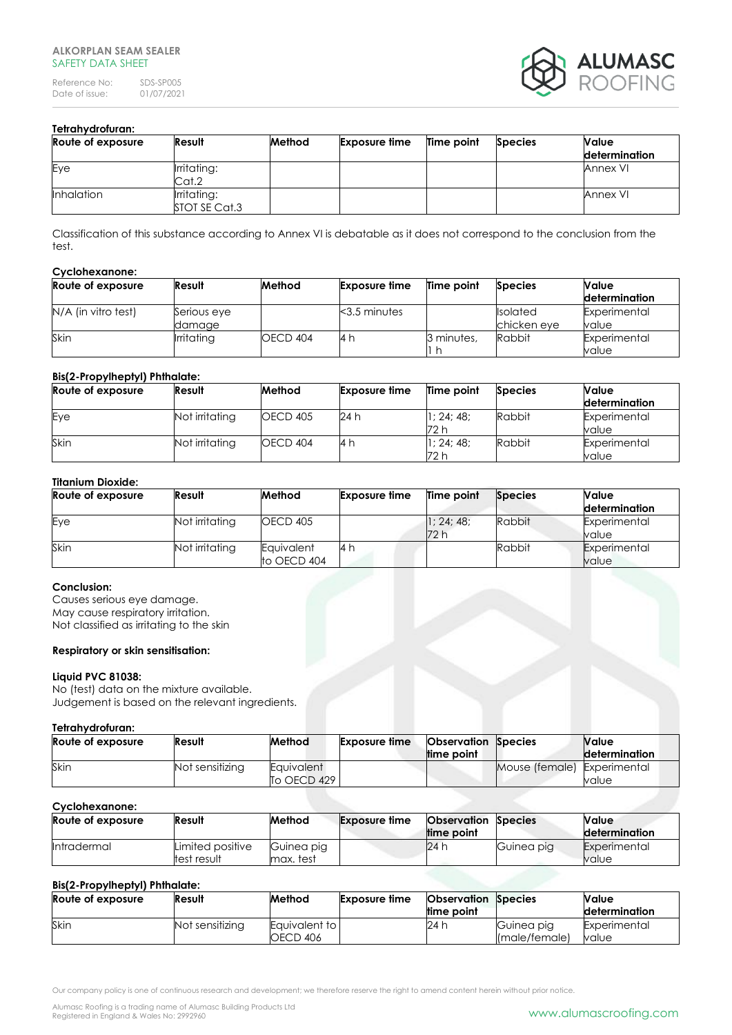Reference No: SDS-SP005<br>Date of issue: 01/07/2021 Date of issue:



# **Tetrahydrofuran:**

| Route of exposure | Result                       | Method | <b>Exposure time</b> | Time point | <b>Species</b> | Value<br>determination |
|-------------------|------------------------------|--------|----------------------|------------|----------------|------------------------|
| Eye               | Irritating:<br>Cat.2         |        |                      |            |                | Annex VI               |
| <b>Inhalation</b> | Irritating:<br>STOT SE Cat.3 |        |                      |            |                | Annex VI               |

Classification of this substance according to Annex VI is debatable as it does not correspond to the conclusion from the test.

#### **Cyclohexanone:**

| Route of exposure   | Result            | Method   | <b>Exposure time</b> | Time point | <b>Species</b>  | Value         |
|---------------------|-------------------|----------|----------------------|------------|-----------------|---------------|
|                     |                   |          |                      |            |                 | determination |
| N/A (in vitro test) | Serious eye       |          | $3.5$ minutes        |            | <b>Isolated</b> | Experimental  |
|                     | damage            |          |                      |            | chicken eye     | value         |
| Skin                | <b>Irritating</b> | OECD 404 | -4 I                 | 3 minutes, | Rabbit          | Experimental  |
|                     |                   |          |                      |            |                 | value         |

#### **Bis(2-Propylheptyl) Phthalate:**

| Route of exposure | Result         | Method          | <b>Exposure lime</b> | Time point       | <b>Species</b> | <b>Value</b><br>determination |
|-------------------|----------------|-----------------|----------------------|------------------|----------------|-------------------------------|
| Eye               | Not irritating | <b>OECD 405</b> | 24 h                 | 1:24:48:<br>72 h | Rabbit         | Experimental<br>value         |
| Skin              | Not irritating | <b>OECD 404</b> | 14 h                 | 1:24:48:<br>72 h | Rabbit         | Experimental<br>value         |

# **Titanium Dioxide:**

| Route of exposure | Result         | Method                    | <b>Exposure lime</b> | Time point       | <b>Species</b> | Value<br>determination |
|-------------------|----------------|---------------------------|----------------------|------------------|----------------|------------------------|
| Eye               | Not irritating | <b>OECD 405</b>           |                      | 1:24:48:<br>72 h | Rabbit         | Experimental<br>value  |
| Skin              | Not irritating | Eauivalent<br>to OECD 404 | 14 h                 |                  | Rabbit         | Experimental<br>value  |

## **Conclusion:**

Causes serious eye damage. May cause respiratory irritation. Not classified as irritating to the skin

#### **Respiratory or skin sensitisation:**

# **Liquid PVC 81038:**

No (test) data on the mixture available. Judgement is based on the relevant ingredients.

#### **Tetrahydrofuran:**

| Route of exposure | Result          | Method                  | <b>Exposure time</b> | <b>Observation Species</b> |                             | Nalue                |
|-------------------|-----------------|-------------------------|----------------------|----------------------------|-----------------------------|----------------------|
|                   |                 |                         |                      | ltime point                |                             | <b>determination</b> |
| Skir              | Not sensitizing | <b>Eauivalent</b>       |                      |                            | Mouse (female) Experimental |                      |
|                   |                 | $\overline{1}$ OECD 429 |                      |                            |                             | value                |

## **Cyclohexanone:**

| Route of exposure  | Result                          | Method                  | <b>Exposure time</b> | <b>Observation Species</b><br>time point |            | Value<br>determination |
|--------------------|---------------------------------|-------------------------|----------------------|------------------------------------------|------------|------------------------|
| <i>Intradermal</i> | Limited positive<br>test result | Guinea pig<br>max. test |                      | 24 h                                     | Guinea pig | Experimental<br>value  |

# **Bis(2-Propylheptyl) Phthalate:**

| Route of exposure | Result          | Method                    | <b>Exposure time</b> | <b>Observation Species</b><br>lime point |                             | Value<br>determination |
|-------------------|-----------------|---------------------------|----------------------|------------------------------------------|-----------------------------|------------------------|
| Skin              | Not sensitizing | Equivalent to<br>OECD 406 |                      | 24 h                                     | Guinea pig<br>(male/female) | Experimental<br>value  |

Our company policy is one of continuous research and development; we therefore reserve the right to amend content herein without prior notice.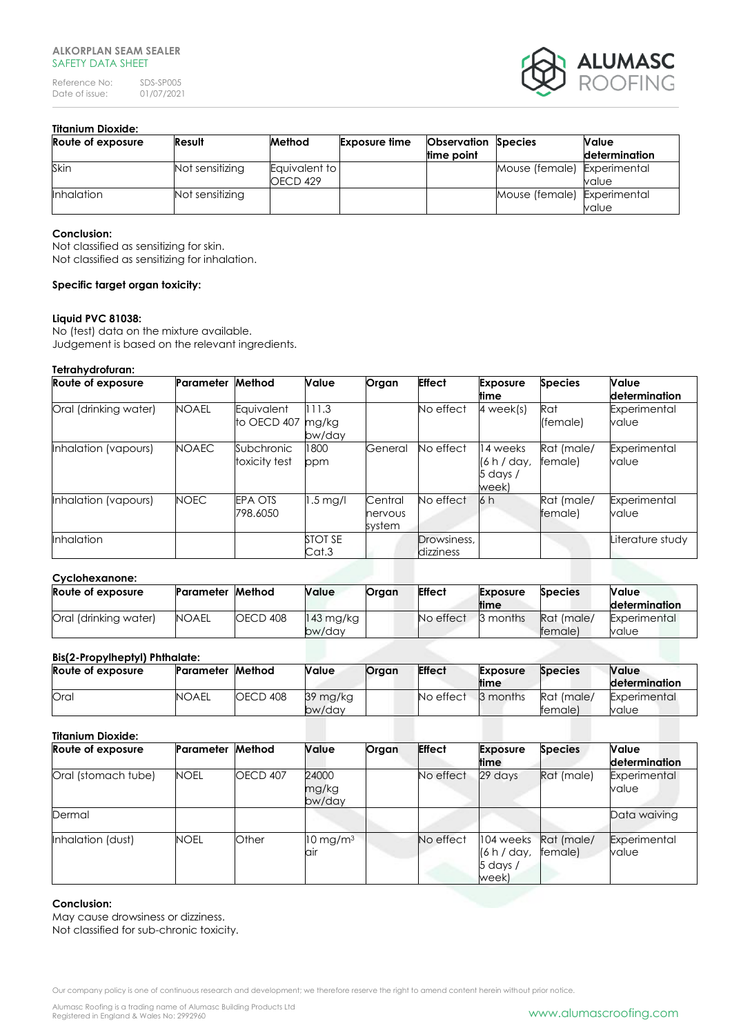Reference No: SDS-SP005<br>Date of issue: 01/07/2021 Date of issue:



# **Titanium Dioxide:**

| Route of exposure | Result          | Method                    | <b>Exposure time</b> | <b>Observation Species</b> |                             | Value         |
|-------------------|-----------------|---------------------------|----------------------|----------------------------|-----------------------------|---------------|
|                   |                 |                           |                      | time point                 |                             | determination |
| Skin              | Not sensitizing | Equivalent to<br>OECD 429 |                      |                            | Mouse (female) Experimental | value         |
| <b>Inhalation</b> | Not sensitizing |                           |                      |                            | Mouse (female) Experimental | value         |

## **Conclusion:**

Not classified as sensitizing for skin. Not classified as sensitizing for inhalation.

# **Specific target organ toxicity:**

# **Liquid PVC 81038:**

No (test) data on the mixture available. Judgement is based on the relevant ingredients.

## **Tetrahydrofuran:**

| Route of exposure     | Parameter    | Method                      | Value                    | Organ                        | <b>Effect</b>            | <b>Exposure</b><br>ltime                     | <b>Species</b>        | <b>Value</b><br><b>determination</b> |
|-----------------------|--------------|-----------------------------|--------------------------|------------------------------|--------------------------|----------------------------------------------|-----------------------|--------------------------------------|
| Oral (drinking water) | <b>NOAEL</b> | Equivalent<br>to OECD 407   | 111.3<br>mg/kg<br>bw/day |                              | No effect                | 4 week(s)                                    | Rat<br>(female)       | Experimental<br>value                |
| Inhalation (vapours)  | <b>NOAEC</b> | Subchronic<br>toxicity test | 1800<br>ppm              | General                      | No effect                | 14 weeks<br>(6 h / day,<br>5 days /<br>week) | Rat (male/<br>female) | Experimental<br>value                |
| Inhalation (vapours)  | <b>NOEC</b>  | <b>EPA OTS</b><br>798.6050  | $1.5 \text{ mg/l}$       | Central<br>nervous<br>system | No effect                | 6 h                                          | Rat (male/<br>female) | Experimental<br>value                |
| Inhalation            |              |                             | STOT SE<br>Cat.3         |                              | Drowsiness,<br>dizziness |                                              |                       | Literature study                     |

#### **Cyclohexanone:**

| Route of exposure     | <b>Parameter Method</b> |          | Value     | Organ | <b>Effect</b> | <b>Exposure</b> | <b>Species</b> | Value               |
|-----------------------|-------------------------|----------|-----------|-------|---------------|-----------------|----------------|---------------------|
|                       |                         |          |           |       |               | ltime           |                | determination       |
| Oral (drinking water) | <b>NOAEL</b>            | OECD 408 | 143 mg/kg |       | No effect     | 3 months        | Rat (male)     | <b>Experimental</b> |
|                       |                         |          | bw/day    |       |               |                 | temale)        | value               |

## **Bis(2-Propylheptyl) Phthalate:**

| <b>PRIST-119PTHICPITIIIIIIIIIIIC.</b><br>Route of exposure | Parameter    | Method   | <b>Value</b>       | Organ | <b>Effect</b> | <b>Exposure</b><br>time | <b>Species</b>        | <b>Value</b><br>determination |
|------------------------------------------------------------|--------------|----------|--------------------|-------|---------------|-------------------------|-----------------------|-------------------------------|
| Oral                                                       | <b>NOAEL</b> | OECD 408 | 39 mg/kg<br>bw/day |       | No effect     | 3 months                | Rat (male/<br>female) | Experimental<br>value         |

| <b>Titanium Dioxide:</b> |             |          |                            |       |               |                                               |                       |                        |
|--------------------------|-------------|----------|----------------------------|-------|---------------|-----------------------------------------------|-----------------------|------------------------|
| Route of exposure        | Parameter   | Method   | <b>Value</b>               | Organ | <b>Effect</b> | <b>Exposure</b><br>time                       | <b>Species</b>        | Value<br>determination |
| Oral (stomach tube)      | <b>NOEL</b> | OECD 407 | 24000<br>mg/kg<br>bw/day   |       | No effect     | 29 days                                       | Rat (male)            | Experimental<br>value  |
| Dermal                   |             |          |                            |       |               |                                               |                       | Data waiving           |
| Inhalation (dust)        | <b>NOEL</b> | Other    | $10 \text{ mg/m}^3$<br>air |       | No effect     | 104 weeks<br>(6 h / day,<br>5 days /<br>week) | Rat (male/<br>female) | Experimental<br>value  |

#### **Conclusion:**

May cause drowsiness or dizziness. Not classified for sub-chronic toxicity.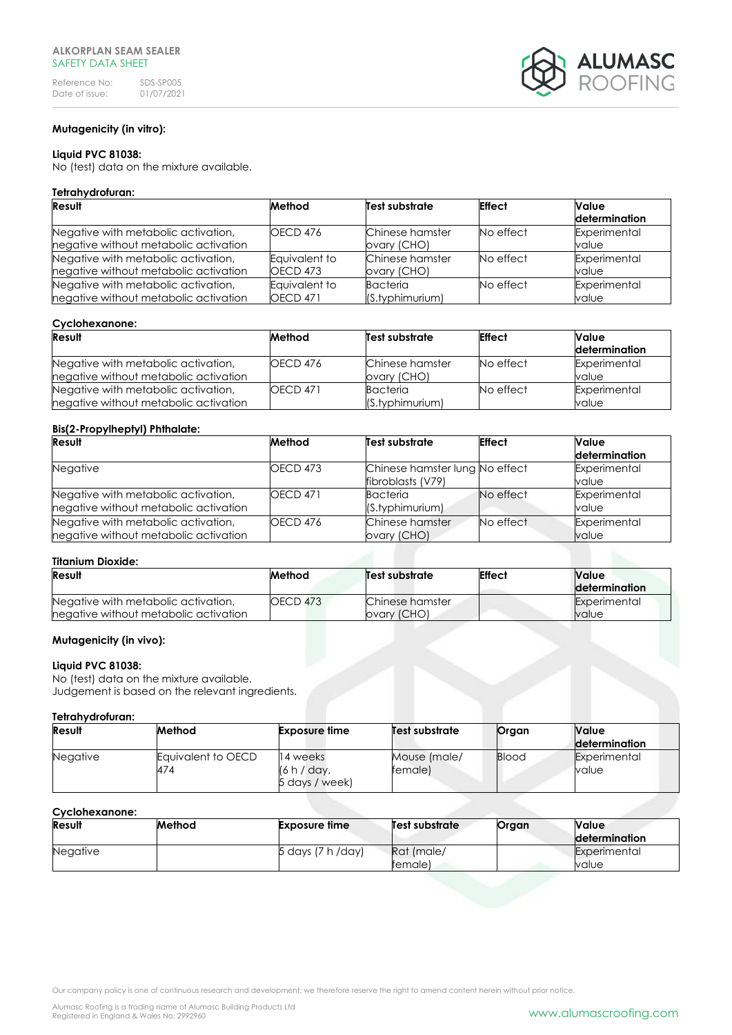

# **Mutagenicity (in vitro):**

## **Liquid PVC 81038:**

No (test) data on the mixture available.

#### **Tetrahydrofuran:**

| Result                                                                       | Method              | Test substrate                 | <b>Effect</b> | Value<br>determination |
|------------------------------------------------------------------------------|---------------------|--------------------------------|---------------|------------------------|
| Negative with metabolic activation,<br>negative without metabolic activation | OECD <sub>476</sub> | Chinese hamster<br>ovary (CHO) | No effect     | Experimental<br>value  |
| Negative with metabolic activation,                                          | Eauivalent to       | Chinese hamster                | No effect     | Experimental           |
| negative without metabolic activation                                        | <b>OECD 473</b>     | ovary (CHO)                    |               | value                  |
| Negative with metabolic activation,                                          | Equivalent to       | Bacteria                       | No effect     | Experimental           |
| negative without metabolic activation                                        | <b>OECD 471</b>     | (S.typhimurium)                |               | value                  |

#### **Cyclohexanone:**

| Result                                | Method          | Test substrate  | <b>Effect</b> | Value         |
|---------------------------------------|-----------------|-----------------|---------------|---------------|
|                                       |                 |                 |               | determination |
| Negative with metabolic activation,   | OECD 476        | Chinese hamster | No effect     | Experimental  |
| negative without metabolic activation |                 | ovary (CHO)     |               | value         |
| Negative with metabolic activation,   | <b>OECD 471</b> | Bacteria        | No effect     | Experimental  |
| negative without metabolic activation |                 | (S.typhimurium) |               | value         |

## **Bis(2-Propylheptyl) Phthalate:**

| Result                                | Method          | Test substrate                 | <b>Effect</b> | Value         |
|---------------------------------------|-----------------|--------------------------------|---------------|---------------|
|                                       |                 |                                |               | determination |
| <b>Negative</b>                       | <b>OECD 473</b> | Chinese hamster lung No effect |               | Experimental  |
|                                       |                 | fibroblasts (V79)              |               | value         |
| Negative with metabolic activation,   | <b>OECD 471</b> | Bacteria                       | No effect     | Experimental  |
| negative without metabolic activation |                 | (S.typhimurium)                |               | value         |
| Negative with metabolic activation,   | OECD 476        | Chinese hamster                | No effect     | Experimental  |
| negative without metabolic activation |                 | ovary (CHO)                    |               | value         |

#### **Titanium Dioxide:**

| Result                                | Method          | Test substrate  |  | <b>Value</b>  |
|---------------------------------------|-----------------|-----------------|--|---------------|
|                                       |                 |                 |  | determination |
| Negative with metabolic activation,   | <b>OECD 473</b> | Chinese hamster |  | Experimental  |
| negative without metabolic activation |                 | ovary (CHO)     |  | value         |

#### **Mutagenicity (in vivo):**

#### **Liquid PVC 81038:**

No (test) data on the mixture available. Judgement is based on the relevant ingredients.

#### **Tetrahydrofuran:**

| <b>Result</b>   | Method                    | Exposure time                             | Test substrate          | Organ        | <b>Value</b><br>determination |
|-----------------|---------------------------|-------------------------------------------|-------------------------|--------------|-------------------------------|
| <b>Negative</b> | Equivalent to OECD<br>474 | 14 weeks<br>(6 h / day,<br>5 days / week) | Mouse (male/<br>female) | <b>Blood</b> | Experimental<br>value         |

# **Cyclohexanone:**

| Result          | Method | <b>Exposure time</b> | Test substrate i      | Organ | Value<br><b>determination</b> |
|-----------------|--------|----------------------|-----------------------|-------|-------------------------------|
| <b>Negative</b> |        | 5 days (7 h /day)    | Rat (male/<br>female) |       | Experimental<br>value         |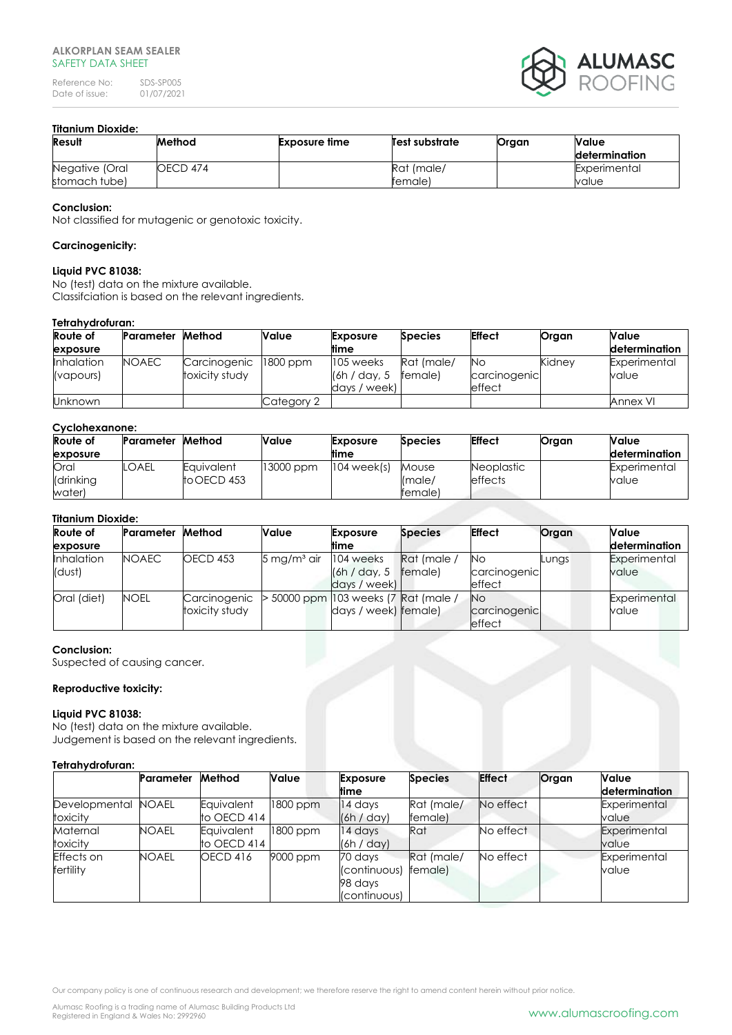Reference No: SDS-SP005<br>Date of issue: 01/07/2021 Date of issue:



# **Titanium Dioxide:**

| Result         | Method   | <b>Exposure time</b> | Test substrate | Organ | Value                |
|----------------|----------|----------------------|----------------|-------|----------------------|
|                |          |                      |                |       | <b>determination</b> |
| Negative (Oral | OECD 474 |                      | Rat (male/     |       | Experimental         |
| stomach tube)  |          |                      | female)        |       | value                |

# **Conclusion:**

Not classified for mutagenic or genotoxic toxicity.

## **Carcinogenicity:**

#### **Liquid PVC 81038:**

No (test) data on the mixture available. Classifciation is based on the relevant ingredients.

# **Tetrahydrofuran:**

| <b>Route of</b>                | Parameter    | Method                         | <b>Value</b> | <b>Exposure</b>                            | <b>Species</b>        | <b>Effect</b>                | Organ  | Value                 |
|--------------------------------|--------------|--------------------------------|--------------|--------------------------------------------|-----------------------|------------------------------|--------|-----------------------|
| exposure                       |              |                                |              | <b>time</b>                                |                       |                              |        | determination         |
| <b>Inhalation</b><br>(vapours) | <b>NOAEC</b> | Carcinogenic<br>toxicity study | 1800 ppm     | 105 weeks<br>(6h / day, 5)<br>days / week) | Rat (male/<br>female) | No<br>carcinogenic<br>effect | Kidnev | Experimental<br>value |
| <b>Unknown</b>                 |              |                                | Category 2   |                                            |                       |                              |        | Annex VI              |

#### **Cyclohexanone:**

| Route of  | Parameter | Method      | Value     | <b>Exposure</b> | <b>Species</b> | <b>Effect</b>     | Organ | <b>Value</b>  |
|-----------|-----------|-------------|-----------|-----------------|----------------|-------------------|-------|---------------|
| exposure  |           |             |           | ltime           |                |                   |       | determination |
| Oral      | ' OAEL    | Equivalent  | 13000 ppm | $104$ week(s)   | Mouse          | <b>Neoplastic</b> |       | Experimental  |
| (drinking |           | to OECD 453 |           |                 | Imale/         | <b>effects</b>    |       | value         |
| water)    |           |             |           |                 | female)        |                   |       |               |

# **Titanium Dioxide:**

| Route of    | Parameter    | Method          | Value                     | <b>Exposure</b>                     | <b>Species</b> | <b>Effect</b>                  | Organ | Value         |
|-------------|--------------|-----------------|---------------------------|-------------------------------------|----------------|--------------------------------|-------|---------------|
| exposure    |              |                 |                           | <b>time</b>                         |                |                                |       | determination |
| Inhalation  | <b>NOAEC</b> | <b>OECD 453</b> | $5 \,\mathrm{mg/m^3}$ air | 104 weeks                           | Rat (male /    | <b>No</b>                      | Lungs | Experimental  |
| (dust)      |              |                 |                           | (6h / day, 5)                       | female)        | carcinogenic                   |       | value         |
|             |              |                 |                           | days / week)                        |                | effect                         |       |               |
| Oral (diet) | <b>NOEL</b>  | Carcinogenic    |                           | 50000 ppm  103 weeks (7 Rat (male / |                | <b>No</b>                      |       | Experimental  |
|             |              | toxicity study  |                           | days / week) female)                |                | carcinogenic<br><b>leffect</b> |       | value         |

#### **Conclusion:**

Suspected of causing cancer.

# **Reproductive toxicity:**

#### **Liquid PVC 81038:**

No (test) data on the mixture available. Judgement is based on the relevant ingredients.

#### **Tetrahydrofuran:**

|                                | Parameter    | Method                    | Value    | <b>Exposure</b><br>time                            | <b>Species</b>        | <b>Effect</b> | Organ | <b>Value</b><br>determination |
|--------------------------------|--------------|---------------------------|----------|----------------------------------------------------|-----------------------|---------------|-------|-------------------------------|
| Developmental<br>toxicity      | <b>NOAEL</b> | Equivalent<br>to OECD 414 | 1800 ppm | 14 days<br>(6h / day)                              | Rat (male/<br>female) | No effect     |       | Experimental<br>value         |
| Maternal<br>toxicity           | NOAEL        | Equivalent<br>to OECD 414 | 1800 ppm | 14 days<br>(6h / day)                              | Rat                   | No effect     |       | Experimental<br>value         |
| Effects on<br><b>fertility</b> | <b>NOAEL</b> | <b>OECD 416</b>           | 9000 ppm | 70 days<br>(continuous)<br>98 davs<br>(continuous) | Rat (male/<br>female) | No effect     |       | Experimental<br>value         |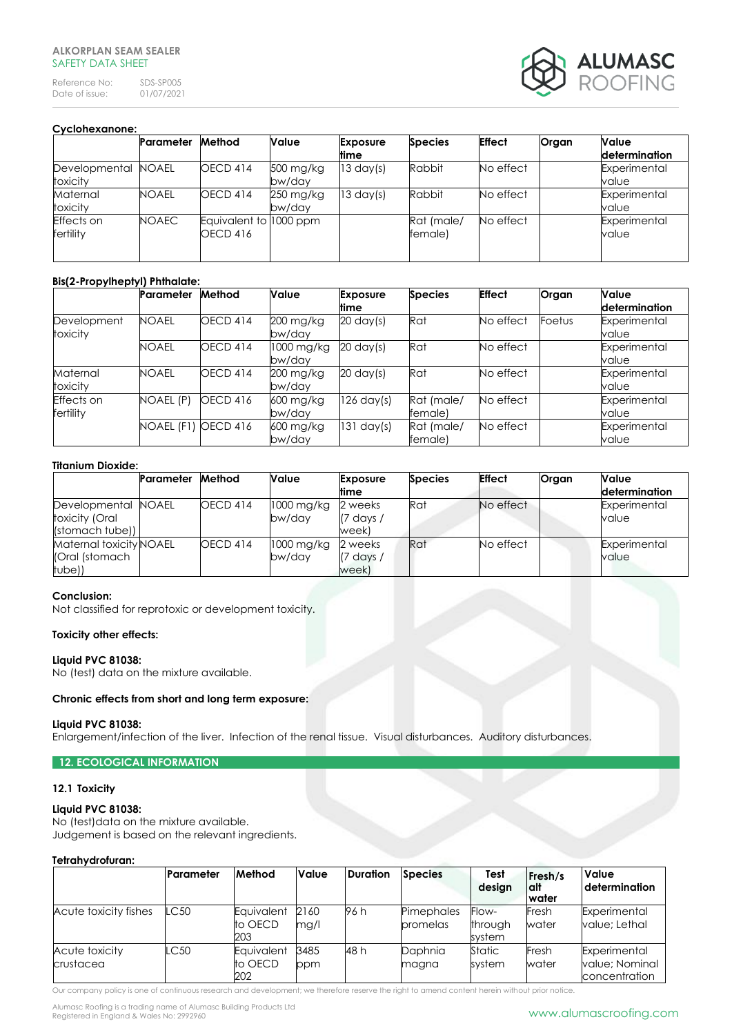Reference No: SDS-SP005<br>Date of issue: 01/07/2021 Date of issue:



| Cyclohexanone:                 |              |                                    |                                  |                         |                       |               |       |                               |  |  |
|--------------------------------|--------------|------------------------------------|----------------------------------|-------------------------|-----------------------|---------------|-------|-------------------------------|--|--|
|                                | Parameter    | Method                             | Value                            | <b>Exposure</b><br>time | <b>Species</b>        | <b>Effect</b> | Organ | <b>Value</b><br>determination |  |  |
| Developmental<br>toxicity      | NOAEL        | <b>OECD 414</b>                    | 500 mg/kg<br>bw/day              | $13 \text{ day(s)}$     | Rabbit                | No effect     |       | Experimental<br>value         |  |  |
| Maternal<br>toxicity           | <b>NOAEL</b> | <b>OECD 414</b>                    | $250 \,\mathrm{mg/kg}$<br>bw/day | $13 \text{ day(s)}$     | Rabbit                | No effect     |       | Experimental<br>value         |  |  |
| <b>Effects</b> on<br>fertility | <b>NOAEC</b> | Equivalent to 1000 ppm<br>OECD 416 |                                  |                         | Rat (male/<br>female) | No effect     |       | Experimental<br>value         |  |  |

# **Bis(2-Propylheptyl) Phthalate:**

|                         | Parameter    | Method          | Value                | <b>Exposure</b><br>time | <b>Species</b>         | <b>Effect</b> | Organ  | <b>Value</b><br>determination |
|-------------------------|--------------|-----------------|----------------------|-------------------------|------------------------|---------------|--------|-------------------------------|
| Development<br>toxicity | <b>NOAEL</b> | OECD 414        | 200 mg/kg<br>bw/day  | $20 \text{ day(s)}$     | Rat                    | No effect     | Foetus | Experimental<br>value         |
|                         | <b>NOAEL</b> | <b>OECD 414</b> | 1000 mg/kg<br>bw/day | $20 \text{ day(s)}$     | Rat                    | No effect     |        | Experimental<br>value         |
| Maternal<br>toxicity    | <b>NOAEL</b> | OECD 414        | 200 mg/kg<br>bw/day  | $20 \text{ day(s)}$     | Rat                    | No effect     |        | Experimental<br>value         |
| Effects on<br>fertility | NOAEL (P)    | <b>OECD 416</b> | 600 mg/kg<br>bw/day  | $126 \text{ day(s)}$    | Rat (male/<br>female)  | No effect     |        | Experimental<br>value         |
|                         | NOAEL (F1)   | <b>OECD 416</b> | 600 mg/kg<br>bw/day  | $131 \text{ day(s)}$    | Rat (male/<br>lfemale) | No effect     |        | Experimental<br>value         |

## **Titanium Dioxide:**

|                                                          | Parameter | Method          | <b>Value</b>         | <b>Exposure</b><br>time                | <b>Species</b> | <b>Effect</b> | Organ | Value<br>determination |
|----------------------------------------------------------|-----------|-----------------|----------------------|----------------------------------------|----------------|---------------|-------|------------------------|
| Developmental NOAEL<br>toxicity (Oral<br>(stomach tube)) |           | <b>OECD 414</b> | 1000 mg/kg<br>bw/dav | 2 weeks<br>$(7 \text{ days})$<br>week) | Rat            | No effect     |       | Experimental<br>value  |
| Maternal toxicity NOAEL<br>(Oral (stomach<br>tube))      |           | <b>OECD 414</b> | 1000 mg/kg<br>bw/dav | 2 weeks<br>$(7 \text{ days})$<br>week) | Rat            | No effect     |       | Experimental<br>value  |

#### **Conclusion:**

Not classified for reprotoxic or development toxicity.

# **Toxicity other effects:**

# **Liquid PVC 81038:**

No (test) data on the mixture available.

#### **Chronic effects from short and long term exposure:**

#### **Liquid PVC 81038:**

Enlargement/infection of the liver. Infection of the renal tissue. Visual disturbances. Auditory disturbances.

# **12. ECOLOGICAL INFORMATION**

## **12.1 Toxicity**

# **Liquid PVC 81038:**

No (test)data on the mixture available. Judgement is based on the relevant ingredients.

#### **Tetrahydrofuran:**

|                             | Parameter | Method                       | Value        | <b>Duration</b> | <b>Species</b>         | Test<br>design             | Fresh/s<br>lalt<br>water | Value<br>l determination                        |
|-----------------------------|-----------|------------------------------|--------------|-----------------|------------------------|----------------------------|--------------------------|-------------------------------------------------|
| Acute toxicity fishes       | LC50      | Eauivalent<br>to OECD<br>203 | 2160<br>mg/l | 96 h            | Pimephales<br>promelas | Flow-<br>through<br>system | Fresh<br>water           | Experimental<br>value: Lethal                   |
| Acute toxicity<br>crustacea | LC50      | Equivalent<br>to OECD<br>202 | 3485<br>ppm  | 48 h            | Daphnia<br>magna       | Static<br>svstem           | Fresh<br>water           | Experimental<br>value; Nominal<br>concentration |

Our company policy is one of continuous research and development; we therefore reserve the right to amend content herein without prior notice.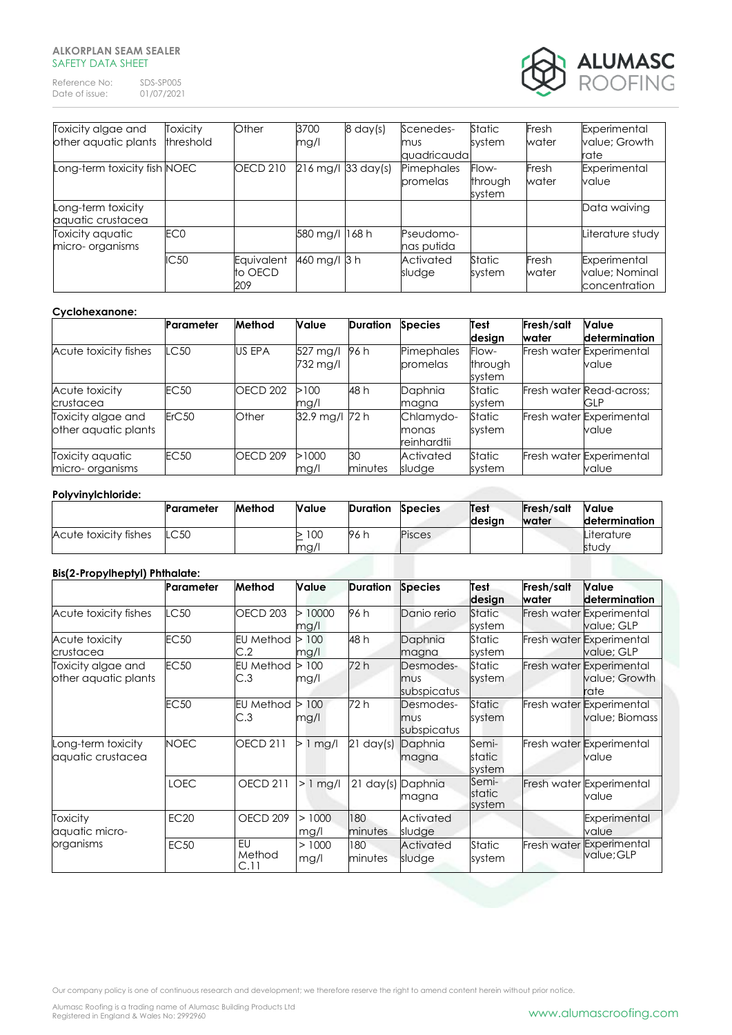Reference No: SDS-SP005<br>Date of issue: 01/07/2021 Date of issue:



| Toxicity algae and           | Toxicity        | Other           | 3700           | $8 \text{ day(s)}$ | Scenedes-   | Static  | Fresh | Experimental     |
|------------------------------|-----------------|-----------------|----------------|--------------------|-------------|---------|-------|------------------|
| other aquatic plants         | threshold       |                 | mg/l           |                    | mus         | system  | water | value; Growth    |
|                              |                 |                 |                |                    | quadricauda |         |       | rate             |
| Long-term toxicity fish NOEC |                 | <b>OECD 210</b> |                | 216 mg/l 33 day(s) | Pimephales  | Flow-   | Fresh | Experimental     |
|                              |                 |                 |                |                    | promelas    | through | water | value            |
|                              |                 |                 |                |                    |             | system  |       |                  |
| Long-term toxicity           |                 |                 |                |                    |             |         |       | Data waiving     |
| aquatic crustacea            |                 |                 |                |                    |             |         |       |                  |
| Toxicity aguatic             | EC <sub>0</sub> |                 | 580 mg/l 168 h |                    | Pseudomo-   |         |       | Literature study |
| micro- organisms             |                 |                 |                |                    | nas putida  |         |       |                  |
|                              | IC50            | Equivalent      | 460 mg/l 3 h   |                    | Activated   | Static  | Fresh | Experimental     |
|                              |                 | to OECD         |                |                    | sludge      | system  | water | value; Nominal   |
|                              |                 | 209             |                |                    |             |         |       | concentration    |

#### **Cyclohexanone:**

|                                            | <b>Parameter</b> | Method              | <b>Value</b>         | <b>Duration</b> | <b>Species</b>                    | Test<br>design             | Fresh/salt<br>water | Value<br>determination                 |
|--------------------------------------------|------------------|---------------------|----------------------|-----------------|-----------------------------------|----------------------------|---------------------|----------------------------------------|
| Acute toxicity fishes                      | C50              | <b>US EPA</b>       | 527 mg/l<br>732 mg/l | 96 h            | Pimephales<br>promelas            | Flow-<br>through<br>system |                     | Fresh water Experimental<br>value      |
| Acute toxicity<br>crustacea                | <b>EC50</b>      | OECD <sub>202</sub> | >100<br>mg/l         | 48 h            | Daphnia<br>magna                  | Static<br>system           |                     | Fresh water Read-across;<br><b>GLP</b> |
| Toxicity algae and<br>other aquatic plants | ErC50            | Other               | 32.9 mg/l            | 72 h            | Chlamydo-<br>monas<br>reinhardtii | Static<br>system           |                     | Fresh water Experimental<br>value      |
| Toxicity aquatic<br>micro- organisms       | <b>EC50</b>      | OECD <sub>209</sub> | >1000<br>mg/l        | 30<br>minutes   | Activated<br>sludge               | Static<br>system           |                     | Fresh water Experimental<br>value      |

## **Polyvinylchloride:**

|                                | Parameter   | Method | <b>Value</b> | <b>Duration</b> | <b>Species</b> | Test<br>desian | <b>Fresh/salt</b><br><b>water</b> | <b>Value</b><br>determination |
|--------------------------------|-------------|--------|--------------|-----------------|----------------|----------------|-----------------------------------|-------------------------------|
| Acute toxicity fishes          | <b>LC50</b> |        | >100<br>mg/l | 96 h            | Pisces         |                |                                   | Literature<br>study           |
| Ris(2-Pronylhentyl) Phthalate: |             |        |              |                 |                |                |                                   |                               |

# **Bis(2-Propylheptyl) Phthalate:**

|                                            | Parameter   | Method                  | Value          | <b>Duration</b>     | <b>Species</b>                  | Test<br>design            | Fresh/salt<br>water | <b>Value</b><br>determination                     |
|--------------------------------------------|-------------|-------------------------|----------------|---------------------|---------------------------------|---------------------------|---------------------|---------------------------------------------------|
| Acute toxicity fishes                      | LC50        | OECD <sub>203</sub>     | >10000<br>mg/l | 96 h                | Danio rerio                     | <b>Static</b><br>system   |                     | Fresh water Experimental<br>value; GLP            |
| Acute toxicity<br>crustacea                | <b>EC50</b> | <b>EU Method</b><br>C.2 | 100<br>mg/l    | 48 h                | Daphnia<br>magna                | Static<br>system          |                     | Fresh water Experimental<br>value; GLP            |
| Toxicity algae and<br>other aquatic plants | <b>EC50</b> | <b>EU Method</b><br>C.3 | 100<br>mg/l    | 72 h                | Desmodes-<br>mus<br>subspicatus | Static<br>system          |                     | Fresh water Experimental<br>value; Growth<br>rate |
|                                            | <b>EC50</b> | <b>EU Method</b><br>C.3 | 100<br>mg/l    | 72 h                | Desmodes-<br>mus<br>subspicatus | <b>Static</b><br>system   |                     | Fresh water Experimental<br>value; Biomass        |
| Long-term toxicity<br>aquatic crustacea    | <b>NOEC</b> | <b>OECD 211</b>         | $> 1$ mg/l     | $21 \text{ day(s)}$ | Daphnia<br>magna                | Semi-<br>static<br>system |                     | Fresh water Experimental<br>value                 |
|                                            | <b>LOEC</b> | <b>OECD 211</b>         | $> 1$ mg/l     | $21 \text{ day(s)}$ | Daphnia<br>magna                | Semi-<br>static<br>system |                     | Fresh water Experimental<br>value                 |
| <b>Toxicity</b><br>aquatic micro-          | <b>EC20</b> | OECD 209                | >1000<br>mg/l  | 180<br>minutes      | Activated<br>sludge             |                           |                     | Experimental<br>value                             |
| organisms                                  | <b>EC50</b> | EU<br>Method<br>C.11    | >1000<br>mg/l  | 180<br>minutes      | Activated<br>sludge             | Static<br>system          | Fresh water         | Experimental<br>value; GLP                        |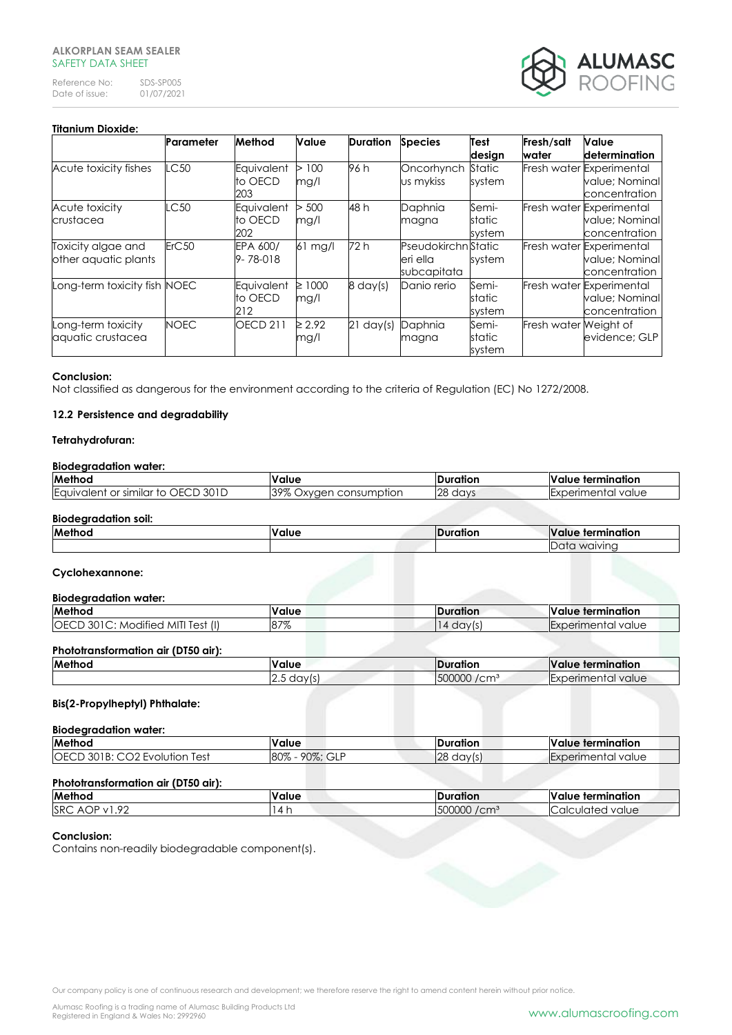Reference No: SDS-SP005<br>Date of issue: 01/07/2021 Date of issue:



# **Titanium Dioxide:**

|                                            | Parameter   | Method                       | Value               | <b>Duration</b>     | <b>Species</b>                                 | Test<br>design            | Fresh/salt<br>water   | Value<br>determination                                      |
|--------------------------------------------|-------------|------------------------------|---------------------|---------------------|------------------------------------------------|---------------------------|-----------------------|-------------------------------------------------------------|
| Acute toxicity fishes                      | LC50        | Equivalent<br>to OECD<br>203 | 100<br>⊳<br>mg/l    | 96 h                | Oncorhynch<br>us mykiss                        | Static<br>system          |                       | Fresh water Experimental<br>value; Nominal<br>concentration |
| Acute toxicity<br>crustacea                | LC50        | Equivalent<br>to OECD<br>202 | 500<br>mg/l         | 48 h                | Daphnia<br>magna                               | Semi-<br>static<br>system |                       | Fresh water Experimental<br>value; Nominal<br>concentration |
| Toxicity algae and<br>other aquatic plants | ErC50       | EPA 600/<br>$9 - 78 - 018$   | $61$ mg/l           | 72 h                | Pseudokirchn Static<br>eri ella<br>subcapitata | system                    |                       | Fresh water Experimental<br>value; Nominal<br>concentration |
| Long-term toxicity fish NOEC               |             | Equivalent<br>to OECD<br>212 | $\geq 1000$<br>mg/l | $8 \text{ day(s)}$  | Danio rerio                                    | Semi-<br>static<br>system |                       | Fresh water Experimental<br>value; Nominal<br>concentration |
| Long-term toxicity<br>aquatic crustacea    | <b>NOEC</b> | <b>OECD 211</b>              | $\geq 2.92$<br>mg/l | $21 \text{ day(s)}$ | Daphnia<br>magna                               | Semi-<br>static<br>system | Fresh water Weight of | evidence; GLP                                               |

#### **Conclusion:**

Not classified as dangerous for the environment according to the criteria of Regulation (EC) No 1272/2008.

#### **12.2 Persistence and degradability**

## **Tetrahydrofuran:**

#### **Biodegradation water:**

| Method                                                                         | <b>Value</b>                         | IDuration  | п.<br>e termination :<br>Value               |
|--------------------------------------------------------------------------------|--------------------------------------|------------|----------------------------------------------|
| 301D<br>$\mathcal{L}$ OFC $\mathcal{L}$<br>or similar to<br><b>L</b> aurvalent | 39%<br>consumption<br>Oxvaer .<br>70 | 28<br>days | <b>I</b> Experimental<br>value<br>. iei irul |

#### **Biodegradation soil:**

| Meth<br>`` | <b>Malu</b> | $\mathbf{u}$<br><b>Armain adia n</b><br>v |
|------------|-------------|-------------------------------------------|
|            |             | $m$ $n$<br>. .                            |

## **Cyclohexannone:**

#### **Biodegradation water:**

| <b>Method</b>                                           | <b>Value</b>        | ration                             | IV<br>termination<br>alue     |
|---------------------------------------------------------|---------------------|------------------------------------|-------------------------------|
| <br>$\Box$<br><b>OE</b><br>Test<br>-ML<br>dified<br>MC. | $87^{\sigma\sigma}$ | da <sup>,</sup><br>$\cdot$ $\cdot$ | value<br>herimenta<br>eillieu |
|                                                         |                     |                                    |                               |

#### **Phototransformation air (DT50 air):**

| Method | <b>Value</b>                  | <b>IDuration</b>                     | <b>Value</b><br>termination                    |
|--------|-------------------------------|--------------------------------------|------------------------------------------------|
|        | $\sim$<br>day<br><br>ن.∠<br>ື | 500000<br>100 <sup>2</sup><br>، ۱۱ ت | <b>ILxperin</b><br>erimental l<br>value<br>.ar |
|        |                               |                                      |                                                |

#### **Bis(2-Propylheptyl) Phthalate:**

#### **Biodegradation water:**

| <b>Method</b>                                                                      | <b>Value</b>                     | <b>IDuration</b> | <b>Ne</b><br>: termination<br>alue  |
|------------------------------------------------------------------------------------|----------------------------------|------------------|-------------------------------------|
| $\sim$ $\sim$ $\sim$ $\sim$<br>IOEC <sup>'</sup><br>301R<br>lest<br>ution<br>FVOIL | $90\%$<br>80%<br>$\bigcap$<br>UL | ഥറ<br>day<br>∠⊖  | ental i<br>value<br><b>ILXDERIT</b> |

# **Phototransformation air (DT50 air):**

| Method                                            | <b>Value</b> | <b>uration</b>             | e termination :<br><b>Value</b> |
|---------------------------------------------------|--------------|----------------------------|---------------------------------|
| SRC <sub>2</sub><br>ാറ<br>AOP.<br>$\overline{11}$ | 14           | 500000<br>/cm <sup>3</sup> | <b>ICalculated value</b>        |
|                                                   |              |                            |                                 |

## **Conclusion:**

Contains non-readily biodegradable component(s).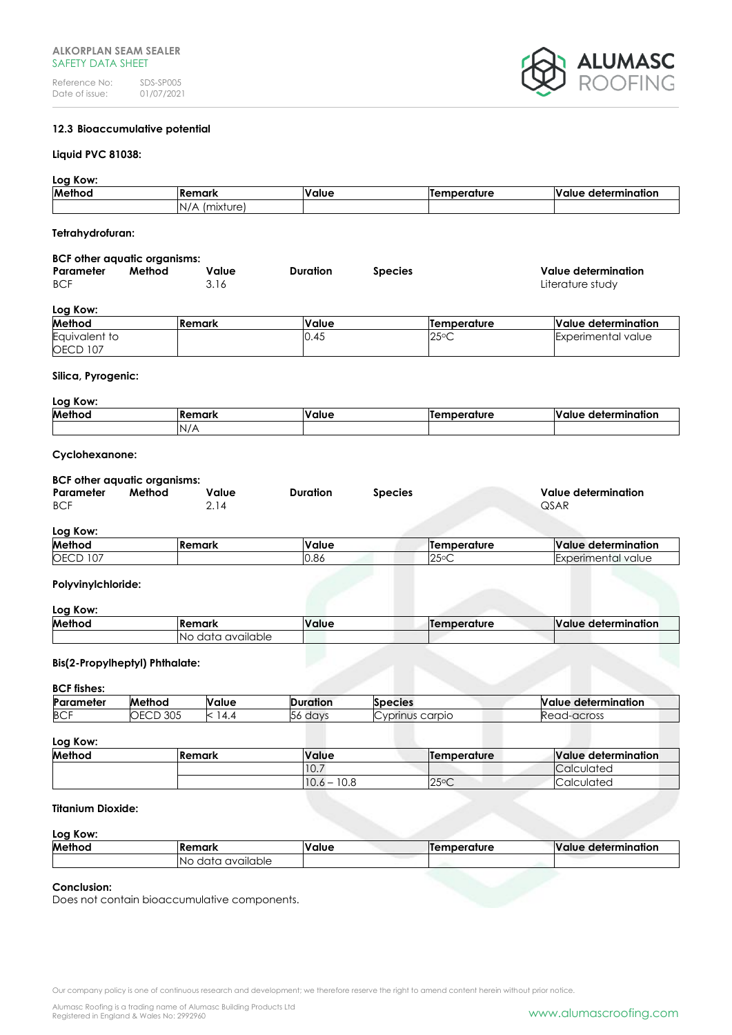

# **12.3 Bioaccumulative potential**

## **Liquid PVC 81038:**

## **Log Kow:**

| Method           | lRemark       | <b>Value</b> | <b>Temperature</b> | Value determination |
|------------------|---------------|--------------|--------------------|---------------------|
|                  | N/A (mixture) |              |                    |                     |
|                  |               |              |                    |                     |
| Tetrahydrofuran: |               |              |                    |                     |

#### **BCF other aquatic organisms:**

|                               | <b>POI OMOI agound Organisms.</b> |               |                 |                |                                         |  |
|-------------------------------|-----------------------------------|---------------|-----------------|----------------|-----------------------------------------|--|
| Parameter<br><b>BCF</b>       | Method                            | Value<br>3.16 | <b>Duration</b> | <b>Species</b> | Value determination<br>Literature study |  |
| $\mathbf{r}$ and $\mathbf{r}$ |                                   |               |                 |                |                                         |  |

## **Log Kow:**

| Method             | <b>IRemark</b> | Value | lTemperature   | Value determination  |
|--------------------|----------------|-------|----------------|----------------------|
| Equivalent to      |                | 0.45  | $25^{\circ}$ C | I Experimental value |
| <b>OECD</b><br>107 |                |       |                |                      |

#### **Silica, Pyrogenic:**

| Log Kow: |         |       |             |                     |  |
|----------|---------|-------|-------------|---------------------|--|
| Method   | lRemark | Value | Temperature | Value determination |  |
|          | N/A     |       |             |                     |  |

## **Cyclohexanone:**

#### **BCF other aquatic organisms:**

| Parameter  | Method | Value | <b>Duration</b> | <b>Species</b> | Value determination |
|------------|--------|-------|-----------------|----------------|---------------------|
| <b>BCF</b> |        |       |                 |                | QSAR                |
|            |        |       |                 |                |                     |

## **Log Kow:**

| --------                              |                |                 |                                      |                                   |
|---------------------------------------|----------------|-----------------|--------------------------------------|-----------------------------------|
| Method                                | <b>IRemark</b> | . .<br>Value    | emperature<br>. <b>.</b>             | <b>Value</b><br>. determination   |
| OECD<br>$\overline{\phantom{a}}$<br>◡ |                | $\sim$<br>IU.OC | $\cap E \cap C$<br>∠◡<br>$\check{ }$ | nental<br>' value<br>וווסי<br>. . |

## **Polyvinylchloride:**

#### **Log Kow:**

| <u>.</u> |                          |              |              |                               |
|----------|--------------------------|--------------|--------------|-------------------------------|
| Method   | <b>IRemark</b>           | <b>Value</b> | lTemperature | <b>Value</b><br>determination |
|          | available<br>data<br>'No |              |              |                               |

## **Bis(2-Propylheptyl) Phthalate:**

#### **BCF fishes:**

| ---------- |                       |       |                  |                                |                                         |
|------------|-----------------------|-------|------------------|--------------------------------|-----------------------------------------|
| Parameter  | Method                | Value | .<br>טוו         | ecies                          | <br><b>Nalue</b><br>:rmination<br>aeter |
| <b>BCF</b> | 305<br>- <del>-</del> | К     | day <sup>r</sup> | $\sim$<br>carpio<br>vnrin<br>∼ | Read<br>d-across                        |
|            |                       |       |                  |                                |                                         |

# **Log Kow:**

| Lug Nuw. |                |                   |                |                     |  |
|----------|----------------|-------------------|----------------|---------------------|--|
| Method   | <b>IRemark</b> | Value             | lTemperature   | Value determination |  |
|          |                | 110.7             |                | <b>Calculated</b>   |  |
|          |                | 10.6<br>10.8<br>- | $25^{\circ}$ C | Calculated          |  |

# **Titanium Dioxide:**

## **Log Kow:**

| Method | <b>IRemark</b>           | <b>Value</b> | lTemperature | Value determination |
|--------|--------------------------|--------------|--------------|---------------------|
|        | available<br>data<br>-NO |              |              |                     |

#### **Conclusion:**

Does not contain bioaccumulative components.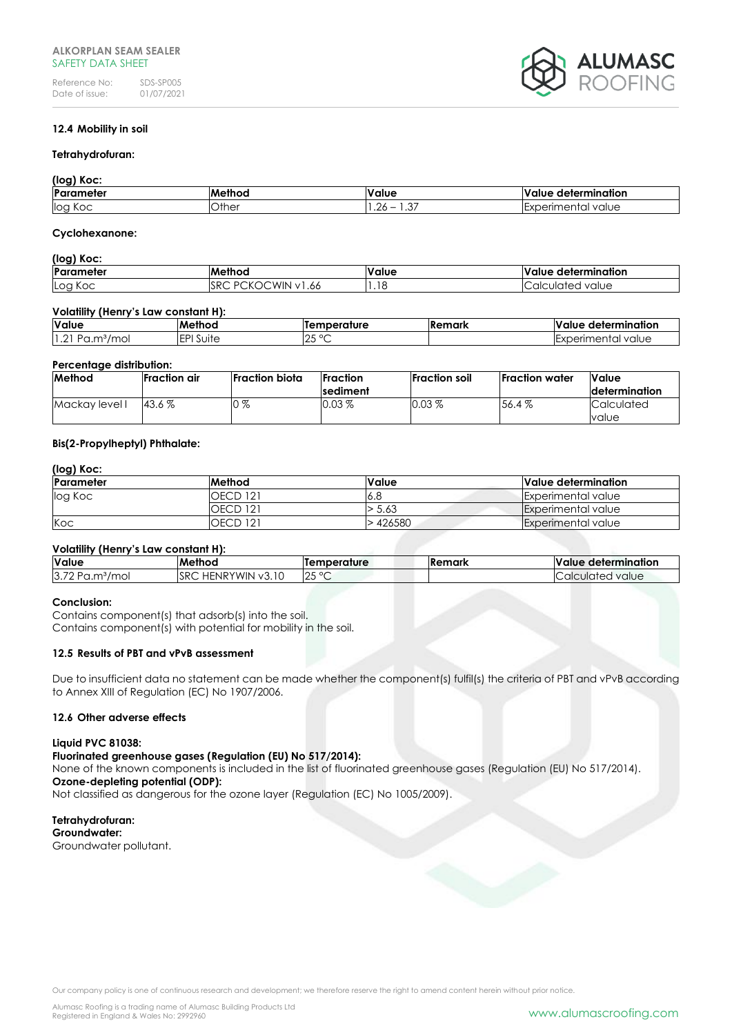

# **12.4 Mobility in soil**

#### **Tetrahydrofuran:**

#### **(log) Koc:**

| 1.991                  |               |                                                          |                                                  |  |  |
|------------------------|---------------|----------------------------------------------------------|--------------------------------------------------|--|--|
| <b>Parameter</b>       | <b>Methoc</b> | alue                                                     | determination<br>'alue                           |  |  |
| log<br>$\sim$<br>- NOC | Other         | $\sim$ $-$<br>$\sim$<br>$\cdot \cdot \cup \prime$<br>$-$ | - Exnerimental<br>value<br>. 101 11 11<br>…∟∧⊾ … |  |  |

#### **Cyclohexanone:**

## **(log) Koc:**

| Parameter     | <br>Methoc.                                                      | 'alue | lValue determination    |
|---------------|------------------------------------------------------------------|-------|-------------------------|
| lLog<br>і Кос | <b>WIN</b><br>ے د<br><b>ISRC</b><br>$\mathcal{L}$<br>.66<br>N. 1 | 1.18  | value<br>ulate.<br>חר ר |

#### **Volatility (Henry's Law constant H):**

| Value                                       | Method       | emperature                   | Remark | <br>Value<br>determination |
|---------------------------------------------|--------------|------------------------------|--------|----------------------------|
| 1.2<br>$\sim$<br>'moi<br>ے ب<br>$\sim$<br>◡ | ורח<br>Suite | $\sim$<br>$\cap$<br>∣∠∪<br>∼ |        | `value<br>$\sim$<br>ີ      |

#### **Percentage distribution:**

| Method         | Fraction air | <b>Fraction biota</b> | <b>Fraction</b>  | lFraction soil | <b>IFraction</b> water | <b>Value</b>          |
|----------------|--------------|-----------------------|------------------|----------------|------------------------|-----------------------|
|                |              |                       | <b>Isediment</b> |                |                        | <b>Idetermination</b> |
| Mackay level I | 43.6%        | ൗ<br>70               | $0.03\%$         | $0.03 \%$      | 56.4%                  | Calculated            |
|                |              |                       |                  |                |                        | value                 |

# **Bis(2-Propylheptyl) Phthalate:**

# **(log) Koc:**

| <b>IParameter</b> | <b>Method</b>   | Value   | Value determination       |
|-------------------|-----------------|---------|---------------------------|
| log Koc           | <b>OECD 121</b> | .6 O    | Experimental value        |
|                   | <b>OECD 121</b> | 5.63    | Experimental value        |
| Koc               | <b>OECD 121</b> | .426580 | <b>Experimental value</b> |

#### **Volatility (Henry's Law constant H):**

| Value                     | <b>Method</b>                               | <b>lTemperature</b>              | <b>IRemark</b> | $\cdot$<br>determination<br><b>Value</b> |
|---------------------------|---------------------------------------------|----------------------------------|----------------|------------------------------------------|
| 3.72<br>mol/<br>ഹാ<br>u.u | <b>SRC</b><br>v3.10<br>/WIN<br><b>HENRY</b> | $\bigcap$<br>$\circ$<br>ັ∠ພ<br>∼ |                | Calculated<br>value                      |

#### **Conclusion:**

Contains component(s) that adsorb(s) into the soil. Contains component(s) with potential for mobility in the soil.

# **12.5 Results of PBT and vPvB assessment**

Due to insufficient data no statement can be made whether the component(s) fulfil(s) the criteria of PBT and vPvB according to Annex XIII of Regulation (EC) No 1907/2006.

#### **12.6 Other adverse effects**

#### **Liquid PVC 81038:**

**Fluorinated greenhouse gases (Regulation (EU) No 517/2014):**

None of the known components is included in the list of fluorinated greenhouse gases (Regulation (EU) No 517/2014). **Ozone-depleting potential (ODP):**

Not classified as dangerous for the ozone layer (Regulation (EC) No 1005/2009).

#### **Tetrahydrofuran: Groundwater:** Groundwater pollutant.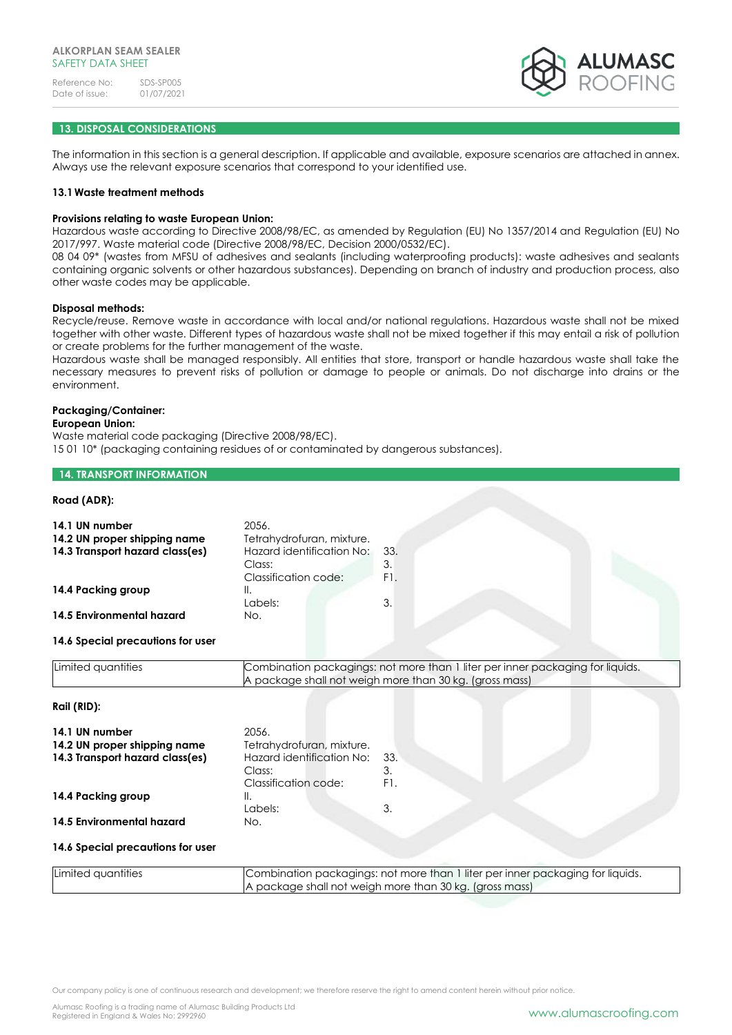

## **13. DISPOSAL CONSIDERATIONS**

The information in this section is a general description. If applicable and available, exposure scenarios are attached in annex. Always use the relevant exposure scenarios that correspond to your identified use.

#### **13.1Waste treatment methods**

#### **Provisions relating to waste European Union:**

Hazardous waste according to Directive 2008/98/EC, as amended by Regulation (EU) No 1357/2014 and Regulation (EU) No 2017/997. Waste material code (Directive 2008/98/EC, Decision 2000/0532/EC).

08 04 09\* (wastes from MFSU of adhesives and sealants (including waterproofing products): waste adhesives and sealants containing organic solvents or other hazardous substances). Depending on branch of industry and production process, also other waste codes may be applicable.

#### **Disposal methods:**

Recycle/reuse. Remove waste in accordance with local and/or national regulations. Hazardous waste shall not be mixed together with other waste. Different types of hazardous waste shall not be mixed together if this may entail a risk of pollution or create problems for the further management of the waste.

Hazardous waste shall be managed responsibly. All entities that store, transport or handle hazardous waste shall take the necessary measures to prevent risks of pollution or damage to people or animals. Do not discharge into drains or the environment.

# **Packaging/Container:**

## **European Union:**

Waste material code packaging (Directive 2008/98/EC). 15 01 10\* (packaging containing residues of or contaminated by dangerous substances).

#### **14. TRANSPORT INFORMATION**

## **Road (ADR):**

| 14.1 UN number<br>14.2 UN proper shipping name<br>14.3 Transport hazard class(es) | 2056.<br>Tetrahydrofuran, mixture.<br>Hazard identification No:<br>Class:<br>Classification code:                                         | 33.<br>3.<br>F1. |  |  |
|-----------------------------------------------------------------------------------|-------------------------------------------------------------------------------------------------------------------------------------------|------------------|--|--|
| 14.4 Packing group                                                                | Ⅱ.<br>Labels:                                                                                                                             | 3.               |  |  |
| 14.5 Environmental hazard                                                         | No.                                                                                                                                       |                  |  |  |
| 14.6 Special precautions for user                                                 |                                                                                                                                           |                  |  |  |
| Limited quantities                                                                | Combination packagings: not more than 1 liter per inner packaging for liquids.<br>A package shall not weigh more than 30 kg. (gross mass) |                  |  |  |
| Rail (RID):                                                                       |                                                                                                                                           |                  |  |  |
| 14.1 UN number<br>14.2 UN proper shipping name<br>14.3 Transport hazard class(es) | 2056.<br>Tetrahydrofuran, mixture.<br>Hazard identification No:<br>Class:<br><b>Classification code:</b>                                  | 33.<br>3.<br>F1. |  |  |
| 14.4 Packing group                                                                | Ⅱ.<br>Labels:                                                                                                                             | 3.               |  |  |
| 14.5 Environmental hazard                                                         | No.                                                                                                                                       |                  |  |  |

#### **14.6 Special precautions for user**

| Limited quantities | Combination packagings: not more than 1 liter per inner packaging for liquids. |
|--------------------|--------------------------------------------------------------------------------|
|                    | A package shall not weigh more than 30 kg. (gross mass)                        |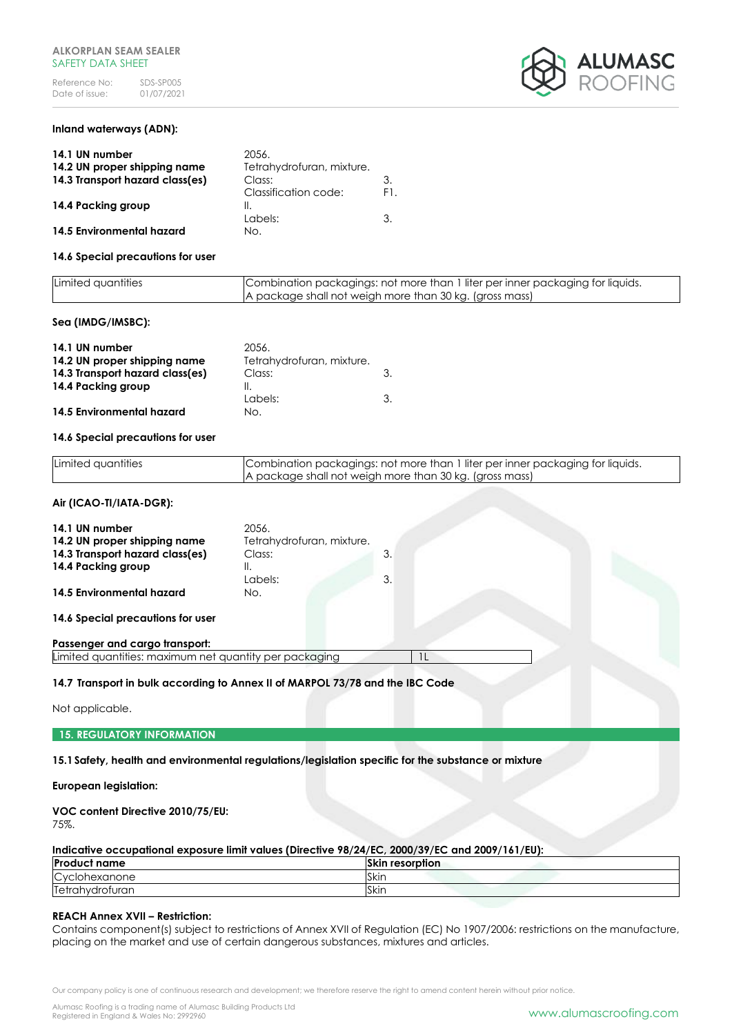

# **Inland waterways (ADN):**

| 14.1 UN number                  | 20.56.                    |     |
|---------------------------------|---------------------------|-----|
| 14.2 UN proper shipping name    | Tetrahydrofuran, mixture. |     |
| 14.3 Transport hazard class(es) | Class:                    | 3.  |
|                                 | Classification code:      | F1. |
| 14.4 Packing group              | Ш.                        |     |
|                                 | Labels:                   | 3.  |
| 14.5 Environmental hazard       | No.                       |     |

#### **14.6 Special precautions for user**

| Limited quantities | Combination packagings: not more than 1 liter per inner packaging for liquids. |
|--------------------|--------------------------------------------------------------------------------|
|                    | A package shall not weigh more than 30 kg. (gross mass)                        |

#### **Sea (IMDG/IMSBC):**

| 14.1 UN number                  | 20.56.                    |  |
|---------------------------------|---------------------------|--|
| 14.2 UN proper shipping name    | Tetrahydrofuran, mixture. |  |
| 14.3 Transport hazard class(es) | Class:                    |  |
| 14.4 Packing group              |                           |  |
|                                 | Labels:                   |  |
| 14.5 Environmental hazard       | No.                       |  |

#### **14.6 Special precautions for user**

| Limited quantities | Combination packagings: not more than 1 liter per inner packaging for liquids. |
|--------------------|--------------------------------------------------------------------------------|
|                    | A package shall not weigh more than 30 kg. (gross mass)                        |

#### **Air (ICAO-TI/IATA-DGR):**

| 14.1 UN number                                         | 2056.                     |    |  |  |
|--------------------------------------------------------|---------------------------|----|--|--|
|                                                        |                           |    |  |  |
| 14.2 UN proper shipping name                           | Tetrahydrofuran, mixture. |    |  |  |
| 14.3 Transport hazard class(es)                        | Class:                    | 3. |  |  |
| 14.4 Packing group                                     | ΙΙ.                       |    |  |  |
|                                                        | Labels:                   | 3. |  |  |
| 14.5 Environmental hazard                              | No.                       |    |  |  |
|                                                        |                           |    |  |  |
| 14.6 Special precautions for user                      |                           |    |  |  |
| Passenger and cargo transport:                         |                           |    |  |  |
| Limited quantities: maximum net quantity per packaging |                           |    |  |  |
|                                                        |                           |    |  |  |

#### **14.7 Transport in bulk according to Annex II of MARPOL 73/78 and the IBC Code**

Not applicable.

**15. REGULATORY INFORMATION**

**15.1Safety, health and environmental regulations/legislation specific for the substance or mixture**

## **European legislation:**

# **VOC content Directive 2010/75/EU:**

75%.

|  | Indicative occupational exposure limit values (Directive 98/24/EC, 2000/39/EC and 2009/161/EU): |  |
|--|-------------------------------------------------------------------------------------------------|--|
|  |                                                                                                 |  |

| <b>Product name</b> | <b>Skin resorption</b> |
|---------------------|------------------------|
| Cyclohexanone       | Skir.                  |
| Tetrahydrofuran     | <b>Skin</b>            |

#### **REACH Annex XVII – Restriction:**

Contains component(s) subject to restrictions of Annex XVII of Regulation (EC) No 1907/2006: restrictions on the manufacture, placing on the market and use of certain dangerous substances, mixtures and articles.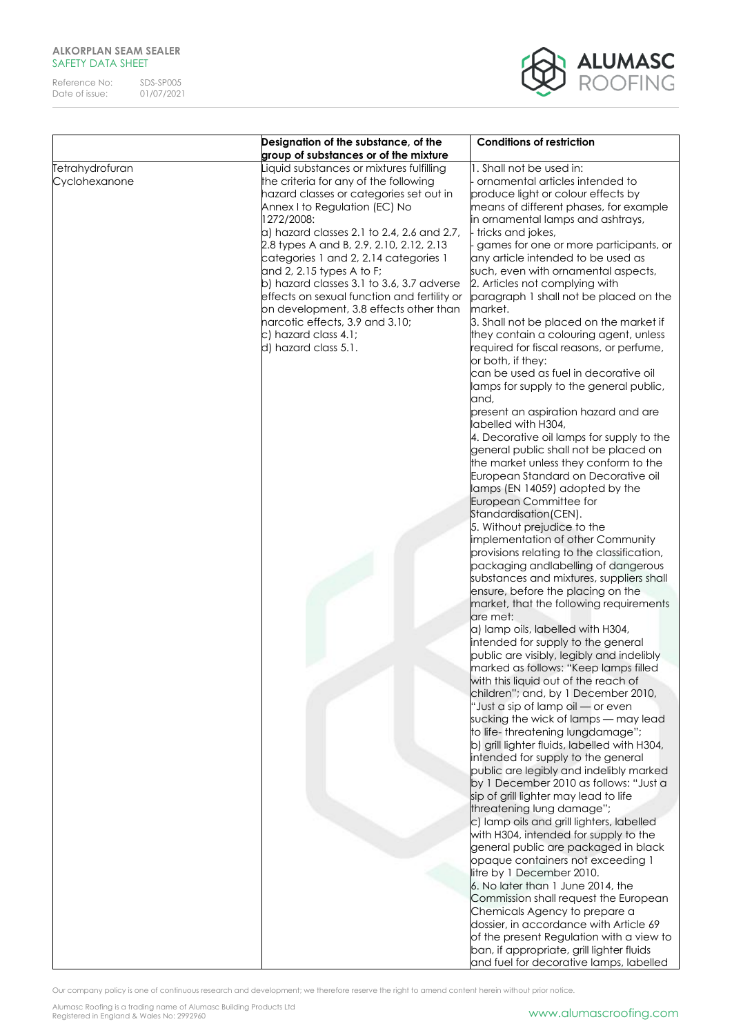Reference No: SDS-SP005<br>Date of issue: 01/07/2021 Date of issue:

**ALUMASC**<br>ROOFING

|                 | Designation of the substance, of the<br>group of substances or of the mixture | <b>Conditions of restriction</b>             |
|-----------------|-------------------------------------------------------------------------------|----------------------------------------------|
|                 |                                                                               |                                              |
| Tetrahydrofuran | iquid substances or mixtures fulfilling                                       | 1. Shall not be used in:                     |
| Cyclohexanone   | the criteria for any of the following                                         | ornamental articles intended to              |
|                 | hazard classes or categories set out in                                       | produce light or colour effects by           |
|                 | Annex I to Regulation (EC) No                                                 | means of different phases, for example       |
|                 | 1272/2008:                                                                    | in ornamental lamps and ashtrays,            |
|                 | $a)$ hazard classes 2.1 to 2.4, 2.6 and 2.7,                                  | tricks and jokes,                            |
|                 | 2.8 types A and B, 2.9, 2.10, 2.12, 2.13                                      | games for one or more participants, or       |
|                 | categories 1 and 2, 2.14 categories 1                                         | any article intended to be used as           |
|                 | and 2, 2.15 types A to F;                                                     | such, even with ornamental aspects,          |
|                 | b) hazard classes 3.1 to 3.6, 3.7 adverse                                     | 2. Articles not complying with               |
|                 | effects on sexual function and fertility or                                   | paragraph 1 shall not be placed on the       |
|                 | on development, 3.8 effects other than                                        | market.                                      |
|                 | narcotic effects, 3.9 and 3.10;                                               | 3. Shall not be placed on the market if      |
|                 | c) hazard class 4.1;                                                          | they contain a colouring agent, unless       |
|                 | d) hazard class 5.1.                                                          | required for fiscal reasons, or perfume,     |
|                 |                                                                               | or both, if they:                            |
|                 |                                                                               | can be used as fuel in decorative oil        |
|                 |                                                                               | lamps for supply to the general public,      |
|                 |                                                                               |                                              |
|                 |                                                                               | and,                                         |
|                 |                                                                               | present an aspiration hazard and are         |
|                 |                                                                               | labelled with H304,                          |
|                 |                                                                               | 4. Decorative oil lamps for supply to the    |
|                 |                                                                               | general public shall not be placed on        |
|                 |                                                                               | the market unless they conform to the        |
|                 |                                                                               | European Standard on Decorative oil          |
|                 |                                                                               | lamps (EN 14059) adopted by the              |
|                 |                                                                               | European Committee for                       |
|                 |                                                                               | Standardisation(CEN).                        |
|                 |                                                                               | 5. Without prejudice to the                  |
|                 |                                                                               | implementation of other Community            |
|                 |                                                                               | provisions relating to the classification,   |
|                 |                                                                               | packaging andlabelling of dangerous          |
|                 |                                                                               | substances and mixtures, suppliers shall     |
|                 |                                                                               | ensure, before the placing on the            |
|                 |                                                                               | market, that the following requirements      |
|                 |                                                                               | are met:                                     |
|                 |                                                                               | a) lamp oils, labelled with H304,            |
|                 |                                                                               | intended for supply to the general           |
|                 |                                                                               | public are visibly, legibly and indelibly    |
|                 |                                                                               | marked as follows: "Keep lamps filled        |
|                 |                                                                               | with this liquid out of the reach of         |
|                 |                                                                               | children"; and, by 1 December 2010,          |
|                 |                                                                               | "Just a sip of lamp oil - or even            |
|                 |                                                                               | sucking the wick of lamps - may lead         |
|                 |                                                                               | to life-threatening lungdamage";             |
|                 |                                                                               | b) grill lighter fluids, labelled with H304, |
|                 |                                                                               | intended for supply to the general           |
|                 |                                                                               | public are legibly and indelibly marked      |
|                 |                                                                               | by 1 December 2010 as follows: "Just a       |
|                 |                                                                               | sip of grill lighter may lead to life        |
|                 |                                                                               | threatening lung damage";                    |
|                 |                                                                               | c) lamp oils and grill lighters, labelled    |
|                 |                                                                               | with H304, intended for supply to the        |
|                 |                                                                               | general public are packaged in black         |
|                 |                                                                               | opaque containers not exceeding 1            |
|                 |                                                                               | litre by 1 December 2010.                    |
|                 |                                                                               | 6. No later than 1 June 2014, the            |
|                 |                                                                               | Commission shall request the European        |
|                 |                                                                               | Chemicals Agency to prepare a                |
|                 |                                                                               | dossier, in accordance with Article 69       |
|                 |                                                                               | of the present Regulation with a view to     |
|                 |                                                                               | ban, if appropriate, grill lighter fluids    |
|                 |                                                                               | and fuel for decorative lamps, labelled      |
|                 |                                                                               |                                              |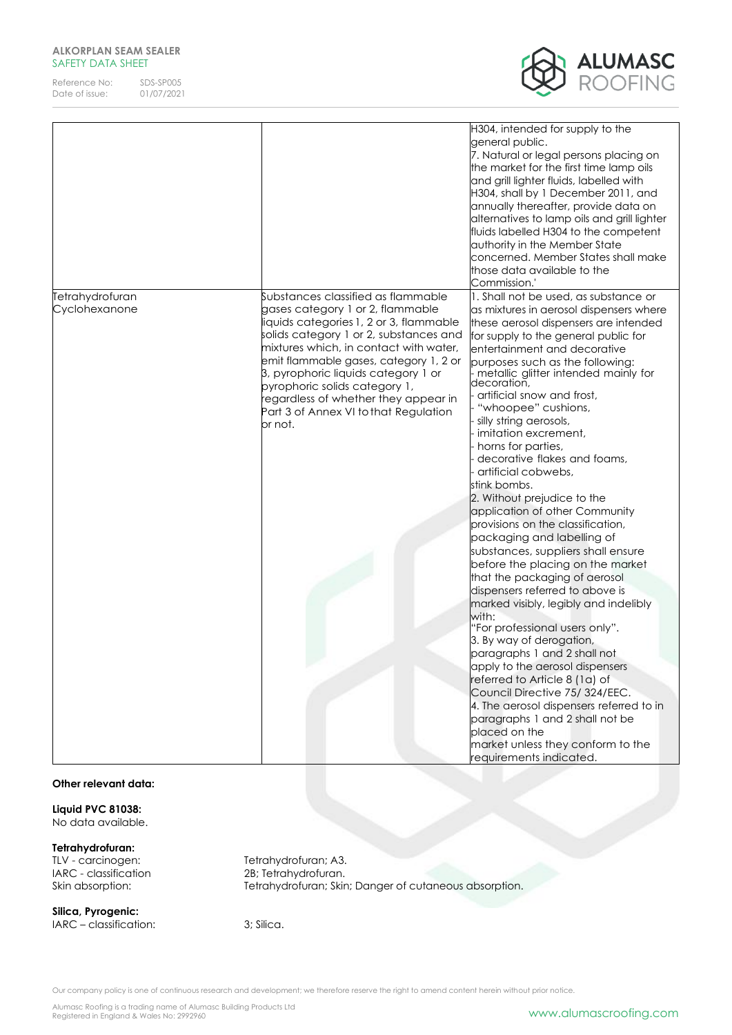Reference No: SDS-SP005<br>Date of issue: 01/07/2021 Date of issue:



|                                  |                                                                                                                                                                                                                                                                                                                                                                                                                     | H304, intended for supply to the<br>general public.<br>7. Natural or legal persons placing on<br>the market for the first time lamp oils<br>and grill lighter fluids, labelled with<br>H304, shall by 1 December 2011, and<br>annually thereafter, provide data on<br>alternatives to lamp oils and grill lighter<br>fluids labelled H304 to the competent<br>authority in the Member State<br>concerned. Member States shall make<br>those data available to the<br>Commission.'                                                                                                                                                                                                                                                                                                                                                                                                                                                                                                                                                                                                                                                                                                                             |
|----------------------------------|---------------------------------------------------------------------------------------------------------------------------------------------------------------------------------------------------------------------------------------------------------------------------------------------------------------------------------------------------------------------------------------------------------------------|---------------------------------------------------------------------------------------------------------------------------------------------------------------------------------------------------------------------------------------------------------------------------------------------------------------------------------------------------------------------------------------------------------------------------------------------------------------------------------------------------------------------------------------------------------------------------------------------------------------------------------------------------------------------------------------------------------------------------------------------------------------------------------------------------------------------------------------------------------------------------------------------------------------------------------------------------------------------------------------------------------------------------------------------------------------------------------------------------------------------------------------------------------------------------------------------------------------|
| Tetrahydrofuran<br>Cyclohexanone | Substances classified as flammable<br>gases category 1 or 2, flammable<br>liquids categories 1, 2 or 3, flammable<br>solids category 1 or 2, substances and<br>mixtures which, in contact with water,<br>emit flammable gases, category 1, 2 or<br>3, pyrophoric liquids category 1 or<br>pyrophoric solids category 1,<br>regardless of whether they appear in<br>Part 3 of Annex VI to that Regulation<br>or not. | 1. Shall not be used, as substance or<br>as mixtures in aerosol dispensers where<br>these aerosol dispensers are intended<br>for supply to the general public for<br>entertainment and decorative<br>purposes such as the following:<br>.<br>  metallic glitter intended mainly for<br> decoration,<br>artificial snow and frost,<br>"whoopee" cushions,<br>silly string aerosols,<br>imitation excrement,<br>horns for parties,<br>decorative flakes and foams,<br>artificial cobwebs,<br>stink bombs.<br>2. Without prejudice to the<br>application of other Community<br>provisions on the classification,<br>packaging and labelling of<br>substances, suppliers shall ensure<br>before the placing on the market<br>that the packaging of aerosol<br>dispensers referred to above is<br>marked visibly, legibly and indelibly<br>with:<br>'For professional users only".<br>3. By way of derogation,<br>paragraphs 1 and 2 shall not<br>apply to the aerosol dispensers<br>referred to Article 8 (1a) of<br>Council Directive 75/324/EEC.<br>4. The aerosol dispensers referred to in<br>paragraphs 1 and 2 shall not be<br>placed on the<br>market unless they conform to the<br>equirements indicated. |

#### **Other relevant data:**

**Liquid PVC 81038:** No data available.

#### **Tetrahydrofuran:**

TLV - carcinogen: Tetrahydrofuran; A3.

**Silica, Pyrogenic:** IARC – classification: 3; Silica.

IARC - classification 2B; Tetrahydrofuran. Skin absorption: Tetrahydrofuran; Skin; Danger of cutaneous absorption.

Our company policy is one of continuous research and development; we therefore reserve the right to amend content herein without prior notice.

Alumasc Roofing is a trading name of Alumasc Building Products Ltd<br>Registered in England & Wales No: 2992960